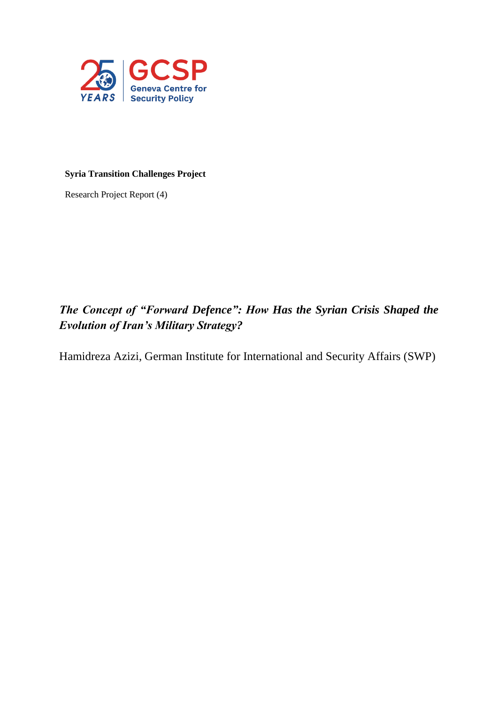

# **Syria Transition Challenges Project**

Research Project Report (4)

# *The Concept of "Forward Defence": How Has the Syrian Crisis Shaped the Evolution of Iran's Military Strategy?*

Hamidreza Azizi, German Institute for International and Security Affairs (SWP)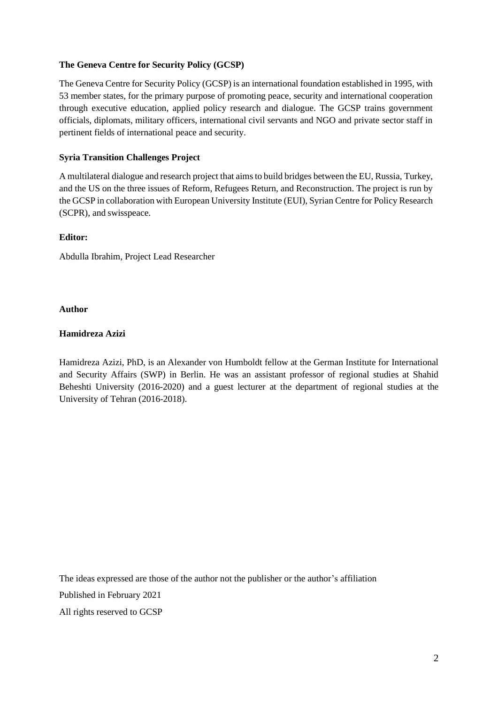## **The Geneva Centre for Security Policy (GCSP)**

The Geneva Centre for Security Policy (GCSP) is an international foundation established in 1995, with 53 member states, for the primary purpose of promoting peace, security and international cooperation through executive education, applied policy research and dialogue. The GCSP trains government officials, diplomats, military officers, international civil servants and NGO and private sector staff in pertinent fields of international peace and security.

## **Syria Transition Challenges Project**

A multilateral dialogue and research project that aimsto build bridges between the EU, Russia, Turkey, and the US on the three issues of Reform, Refugees Return, and Reconstruction. The project is run by the GCSP in collaboration with European University Institute (EUI), Syrian Centre for Policy Research (SCPR), and swisspeace.

#### **Editor:**

Abdulla Ibrahim, Project Lead Researcher

## **Author**

## **Hamidreza Azizi**

Hamidreza Azizi, PhD, is an Alexander von Humboldt fellow at the German Institute for International and Security Affairs (SWP) in Berlin. He was an assistant professor of regional studies at Shahid Beheshti University (2016-2020) and a guest lecturer at the department of regional studies at the University of Tehran (2016-2018).

The ideas expressed are those of the author not the publisher or the author's affiliation

Published in February 2021

All rights reserved to GCSP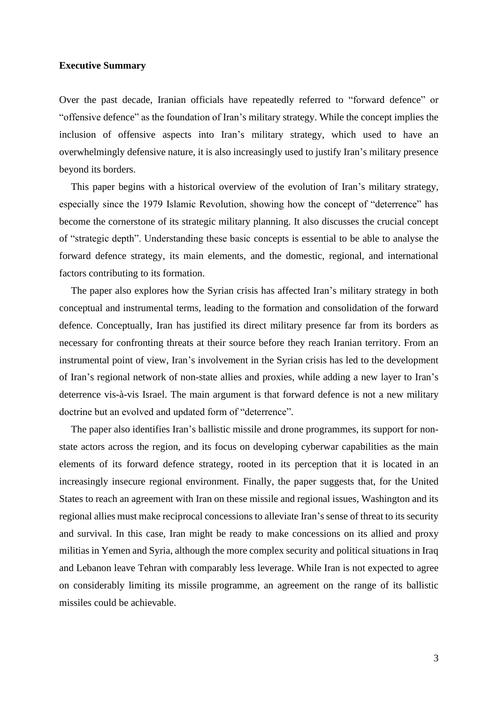## **Executive Summary**

Over the past decade, Iranian officials have repeatedly referred to "forward defence" or "offensive defence" as the foundation of Iran's military strategy. While the concept implies the inclusion of offensive aspects into Iran's military strategy, which used to have an overwhelmingly defensive nature, it is also increasingly used to justify Iran's military presence beyond its borders.

This paper begins with a historical overview of the evolution of Iran's military strategy, especially since the 1979 Islamic Revolution, showing how the concept of "deterrence" has become the cornerstone of its strategic military planning. It also discusses the crucial concept of "strategic depth". Understanding these basic concepts is essential to be able to analyse the forward defence strategy, its main elements, and the domestic, regional, and international factors contributing to its formation.

The paper also explores how the Syrian crisis has affected Iran's military strategy in both conceptual and instrumental terms, leading to the formation and consolidation of the forward defence. Conceptually, Iran has justified its direct military presence far from its borders as necessary for confronting threats at their source before they reach Iranian territory. From an instrumental point of view, Iran's involvement in the Syrian crisis has led to the development of Iran's regional network of non-state allies and proxies, while adding a new layer to Iran's deterrence vis-à-vis Israel. The main argument is that forward defence is not a new military doctrine but an evolved and updated form of "deterrence".

The paper also identifies Iran's ballistic missile and drone programmes, its support for nonstate actors across the region, and its focus on developing cyberwar capabilities as the main elements of its forward defence strategy, rooted in its perception that it is located in an increasingly insecure regional environment. Finally, the paper suggests that, for the United States to reach an agreement with Iran on these missile and regional issues, Washington and its regional allies must make reciprocal concessions to alleviate Iran's sense of threat to its security and survival. In this case, Iran might be ready to make concessions on its allied and proxy militias in Yemen and Syria, although the more complex security and political situations in Iraq and Lebanon leave Tehran with comparably less leverage. While Iran is not expected to agree on considerably limiting its missile programme, an agreement on the range of its ballistic missiles could be achievable.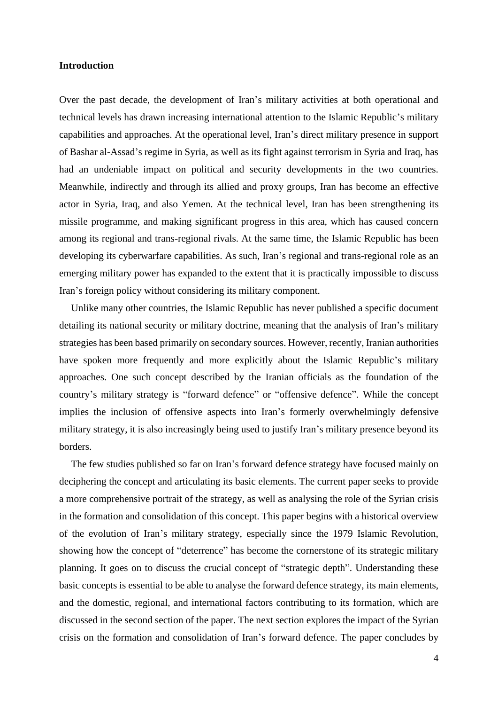## **Introduction**

Over the past decade, the development of Iran's military activities at both operational and technical levels has drawn increasing international attention to the Islamic Republic's military capabilities and approaches. At the operational level, Iran's direct military presence in support of Bashar al-Assad's regime in Syria, as well as its fight against terrorism in Syria and Iraq, has had an undeniable impact on political and security developments in the two countries. Meanwhile, indirectly and through its allied and proxy groups, Iran has become an effective actor in Syria, Iraq, and also Yemen. At the technical level, Iran has been strengthening its missile programme, and making significant progress in this area, which has caused concern among its regional and trans-regional rivals. At the same time, the Islamic Republic has been developing its cyberwarfare capabilities. As such, Iran's regional and trans-regional role as an emerging military power has expanded to the extent that it is practically impossible to discuss Iran's foreign policy without considering its military component.

Unlike many other countries, the Islamic Republic has never published a specific document detailing its national security or military doctrine, meaning that the analysis of Iran's military strategies has been based primarily on secondary sources. However, recently, Iranian authorities have spoken more frequently and more explicitly about the Islamic Republic's military approaches. One such concept described by the Iranian officials as the foundation of the country's military strategy is "forward defence" or "offensive defence". While the concept implies the inclusion of offensive aspects into Iran's formerly overwhelmingly defensive military strategy, it is also increasingly being used to justify Iran's military presence beyond its borders.

The few studies published so far on Iran's forward defence strategy have focused mainly on deciphering the concept and articulating its basic elements. The current paper seeks to provide a more comprehensive portrait of the strategy, as well as analysing the role of the Syrian crisis in the formation and consolidation of this concept. This paper begins with a historical overview of the evolution of Iran's military strategy, especially since the 1979 Islamic Revolution, showing how the concept of "deterrence" has become the cornerstone of its strategic military planning. It goes on to discuss the crucial concept of "strategic depth". Understanding these basic concepts is essential to be able to analyse the forward defence strategy, its main elements, and the domestic, regional, and international factors contributing to its formation, which are discussed in the second section of the paper. The next section explores the impact of the Syrian crisis on the formation and consolidation of Iran's forward defence. The paper concludes by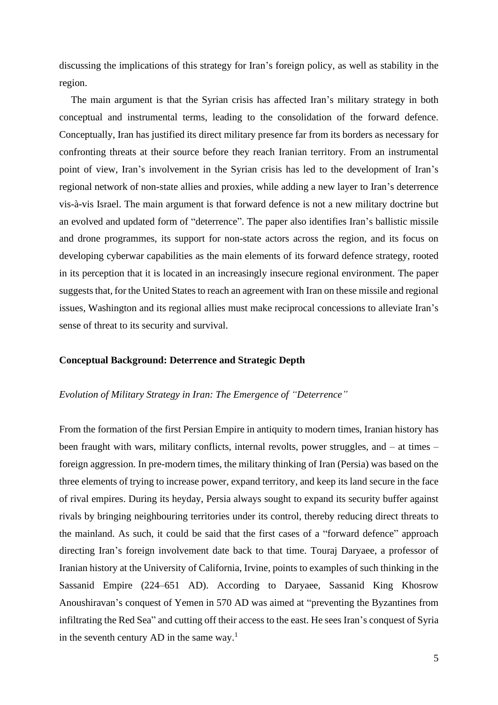discussing the implications of this strategy for Iran's foreign policy, as well as stability in the region.

The main argument is that the Syrian crisis has affected Iran's military strategy in both conceptual and instrumental terms, leading to the consolidation of the forward defence. Conceptually, Iran has justified its direct military presence far from its borders as necessary for confronting threats at their source before they reach Iranian territory. From an instrumental point of view, Iran's involvement in the Syrian crisis has led to the development of Iran's regional network of non-state allies and proxies, while adding a new layer to Iran's deterrence vis-à-vis Israel. The main argument is that forward defence is not a new military doctrine but an evolved and updated form of "deterrence". The paper also identifies Iran's ballistic missile and drone programmes, its support for non-state actors across the region, and its focus on developing cyberwar capabilities as the main elements of its forward defence strategy, rooted in its perception that it is located in an increasingly insecure regional environment. The paper suggests that, for the United States to reach an agreement with Iran on these missile and regional issues, Washington and its regional allies must make reciprocal concessions to alleviate Iran's sense of threat to its security and survival.

#### **Conceptual Background: Deterrence and Strategic Depth**

#### *Evolution of Military Strategy in Iran: The Emergence of "Deterrence"*

From the formation of the first Persian Empire in antiquity to modern times, Iranian history has been fraught with wars, military conflicts, internal revolts, power struggles, and – at times – foreign aggression. In pre-modern times, the military thinking of Iran (Persia) was based on the three elements of trying to increase power, expand territory, and keep its land secure in the face of rival empires. During its heyday, Persia always sought to expand its security buffer against rivals by bringing neighbouring territories under its control, thereby reducing direct threats to the mainland. As such, it could be said that the first cases of a "forward defence" approach directing Iran's foreign involvement date back to that time. Touraj Daryaee, a professor of Iranian history at the University of California, Irvine, points to examples of such thinking in the Sassanid Empire (224–651 AD). According to Daryaee, Sassanid King Khosrow Anoushiravan's conquest of Yemen in 570 AD was aimed at "preventing the Byzantines from infiltrating the Red Sea" and cutting off their access to the east. He sees Iran's conquest of Syria in the seventh century AD in the same way.<sup>1</sup>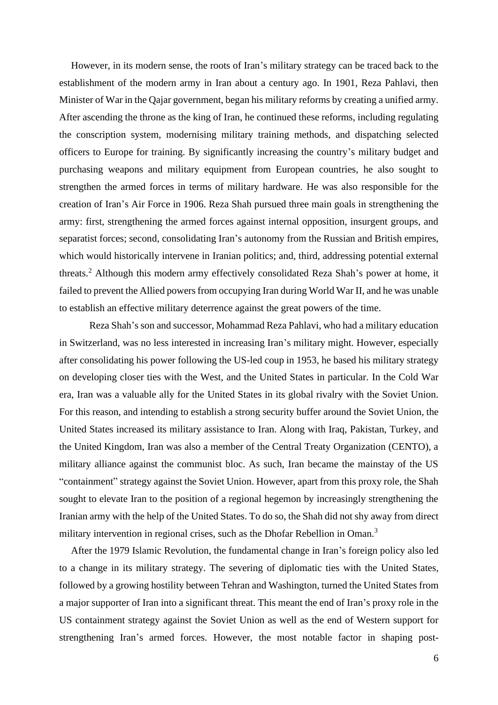However, in its modern sense, the roots of Iran's military strategy can be traced back to the establishment of the modern army in Iran about a century ago. In 1901, Reza Pahlavi, then Minister of War in the Qajar government, began his military reforms by creating a unified army. After ascending the throne as the king of Iran, he continued these reforms, including regulating the conscription system, modernising military training methods, and dispatching selected officers to Europe for training. By significantly increasing the country's military budget and purchasing weapons and military equipment from European countries, he also sought to strengthen the armed forces in terms of military hardware. He was also responsible for the creation of Iran's Air Force in 1906. Reza Shah pursued three main goals in strengthening the army: first, strengthening the armed forces against internal opposition, insurgent groups, and separatist forces; second, consolidating Iran's autonomy from the Russian and British empires, which would historically intervene in Iranian politics; and, third, addressing potential external threats.<sup>2</sup> Although this modern army effectively consolidated Reza Shah's power at home, it failed to prevent the Allied powers from occupying Iran during World War II, and he was unable to establish an effective military deterrence against the great powers of the time.

Reza Shah's son and successor, Mohammad Reza Pahlavi, who had a military education in Switzerland, was no less interested in increasing Iran's military might. However, especially after consolidating his power following the US-led coup in 1953, he based his military strategy on developing closer ties with the West, and the United States in particular. In the Cold War era, Iran was a valuable ally for the United States in its global rivalry with the Soviet Union. For this reason, and intending to establish a strong security buffer around the Soviet Union, the United States increased its military assistance to Iran. Along with Iraq, Pakistan, Turkey, and the United Kingdom, Iran was also a member of the Central Treaty Organization (CENTO), a military alliance against the communist bloc. As such, Iran became the mainstay of the US "containment" strategy against the Soviet Union. However, apart from this proxy role, the Shah sought to elevate Iran to the position of a regional hegemon by increasingly strengthening the Iranian army with the help of the United States. To do so, the Shah did not shy away from direct military intervention in regional crises, such as the Dhofar Rebellion in Oman.<sup>3</sup>

After the 1979 Islamic Revolution, the fundamental change in Iran's foreign policy also led to a change in its military strategy. The severing of diplomatic ties with the United States, followed by a growing hostility between Tehran and Washington, turned the United States from a major supporter of Iran into a significant threat. This meant the end of Iran's proxy role in the US containment strategy against the Soviet Union as well as the end of Western support for strengthening Iran's armed forces. However, the most notable factor in shaping post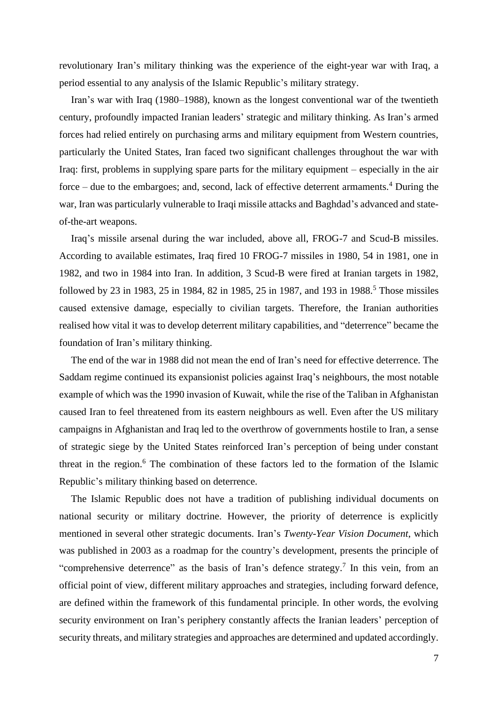revolutionary Iran's military thinking was the experience of the eight-year war with Iraq, a period essential to any analysis of the Islamic Republic's military strategy.

Iran's war with Iraq (1980–1988), known as the longest conventional war of the twentieth century, profoundly impacted Iranian leaders' strategic and military thinking. As Iran's armed forces had relied entirely on purchasing arms and military equipment from Western countries, particularly the United States, Iran faced two significant challenges throughout the war with Iraq: first, problems in supplying spare parts for the military equipment – especially in the air force – due to the embargoes; and, second, lack of effective deterrent armaments.<sup>4</sup> During the war, Iran was particularly vulnerable to Iraqi missile attacks and Baghdad's advanced and stateof-the-art weapons.

Iraq's missile arsenal during the war included, above all, FROG-7 and Scud-B missiles. According to available estimates, Iraq fired 10 FROG-7 missiles in 1980, 54 in 1981, one in 1982, and two in 1984 into Iran. In addition, 3 Scud-B were fired at Iranian targets in 1982, followed by 23 in 1983, 25 in 1984, 82 in 1985, 25 in 1987, and 193 in 1988.<sup>5</sup> Those missiles caused extensive damage, especially to civilian targets. Therefore, the Iranian authorities realised how vital it was to develop deterrent military capabilities, and "deterrence" became the foundation of Iran's military thinking.

The end of the war in 1988 did not mean the end of Iran's need for effective deterrence. The Saddam regime continued its expansionist policies against Iraq's neighbours, the most notable example of which was the 1990 invasion of Kuwait, while the rise of the Taliban in Afghanistan caused Iran to feel threatened from its eastern neighbours as well. Even after the US military campaigns in Afghanistan and Iraq led to the overthrow of governments hostile to Iran, a sense of strategic siege by the United States reinforced Iran's perception of being under constant threat in the region.<sup>6</sup> The combination of these factors led to the formation of the Islamic Republic's military thinking based on deterrence.

The Islamic Republic does not have a tradition of publishing individual documents on national security or military doctrine. However, the priority of deterrence is explicitly mentioned in several other strategic documents. Iran's *Twenty-Year Vision Document*, which was published in 2003 as a roadmap for the country's development, presents the principle of "comprehensive deterrence" as the basis of Iran's defence strategy.<sup>7</sup> In this vein, from an official point of view, different military approaches and strategies, including forward defence, are defined within the framework of this fundamental principle. In other words, the evolving security environment on Iran's periphery constantly affects the Iranian leaders' perception of security threats, and military strategies and approaches are determined and updated accordingly.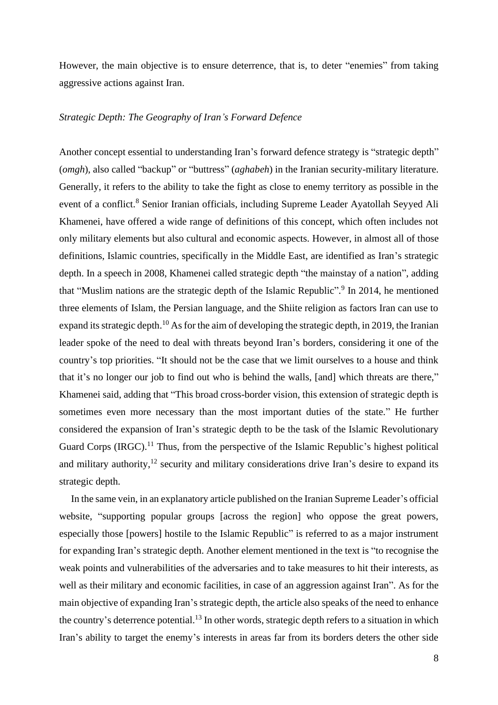However, the main objective is to ensure deterrence, that is, to deter "enemies" from taking aggressive actions against Iran.

#### *Strategic Depth: The Geography of Iran's Forward Defence*

Another concept essential to understanding Iran's forward defence strategy is "strategic depth" (*omgh*), also called "backup" or "buttress" (*aghabeh*) in the Iranian security-military literature. Generally, it refers to the ability to take the fight as close to enemy territory as possible in the event of a conflict.<sup>8</sup> Senior Iranian officials, including Supreme Leader Ayatollah Seyyed Ali Khamenei, have offered a wide range of definitions of this concept, which often includes not only military elements but also cultural and economic aspects. However, in almost all of those definitions, Islamic countries, specifically in the Middle East, are identified as Iran's strategic depth. In a speech in 2008, Khamenei called strategic depth "the mainstay of a nation", adding that "Muslim nations are the strategic depth of the Islamic Republic".<sup>9</sup> In 2014, he mentioned three elements of Islam, the Persian language, and the Shiite religion as factors Iran can use to expand its strategic depth.<sup>10</sup> As for the aim of developing the strategic depth, in 2019, the Iranian leader spoke of the need to deal with threats beyond Iran's borders, considering it one of the country's top priorities. "It should not be the case that we limit ourselves to a house and think that it's no longer our job to find out who is behind the walls, [and] which threats are there," Khamenei said, adding that "This broad cross-border vision, this extension of strategic depth is sometimes even more necessary than the most important duties of the state." He further considered the expansion of Iran's strategic depth to be the task of the Islamic Revolutionary Guard Corps  $(IRGC)$ .<sup>11</sup> Thus, from the perspective of the Islamic Republic's highest political and military authority, $12$  security and military considerations drive Iran's desire to expand its strategic depth.

In the same vein, in an explanatory article published on the Iranian Supreme Leader's official website, "supporting popular groups [across the region] who oppose the great powers, especially those [powers] hostile to the Islamic Republic" is referred to as a major instrument for expanding Iran's strategic depth. Another element mentioned in the text is "to recognise the weak points and vulnerabilities of the adversaries and to take measures to hit their interests, as well as their military and economic facilities, in case of an aggression against Iran". As for the main objective of expanding Iran's strategic depth, the article also speaks of the need to enhance the country's deterrence potential.<sup>13</sup> In other words, strategic depth refers to a situation in which Iran's ability to target the enemy's interests in areas far from its borders deters the other side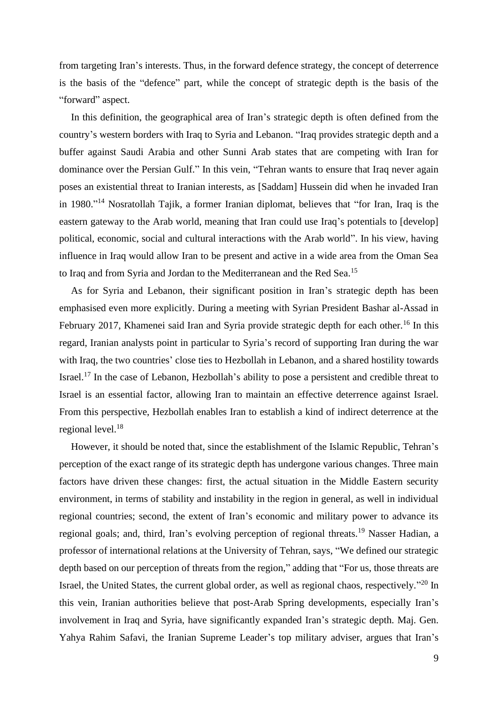from targeting Iran's interests. Thus, in the forward defence strategy, the concept of deterrence is the basis of the "defence" part, while the concept of strategic depth is the basis of the "forward" aspect.

In this definition, the geographical area of Iran's strategic depth is often defined from the country's western borders with Iraq to Syria and Lebanon. "Iraq provides strategic depth and a buffer against Saudi Arabia and other Sunni Arab states that are competing with Iran for dominance over the Persian Gulf." In this vein, "Tehran wants to ensure that Iraq never again poses an existential threat to Iranian interests, as [Saddam] Hussein did when he invaded Iran in 1980." <sup>14</sup> Nosratollah Tajik, a former Iranian diplomat, believes that "for Iran, Iraq is the eastern gateway to the Arab world, meaning that Iran could use Iraq's potentials to [develop] political, economic, social and cultural interactions with the Arab world". In his view, having influence in Iraq would allow Iran to be present and active in a wide area from the Oman Sea to Iraq and from Syria and Jordan to the Mediterranean and the Red Sea.<sup>15</sup>

As for Syria and Lebanon, their significant position in Iran's strategic depth has been emphasised even more explicitly. During a meeting with Syrian President Bashar al-Assad in February 2017, Khamenei said Iran and Syria provide strategic depth for each other.<sup>16</sup> In this regard, Iranian analysts point in particular to Syria's record of supporting Iran during the war with Iraq, the two countries' close ties to Hezbollah in Lebanon, and a shared hostility towards Israel.<sup>17</sup> In the case of Lebanon, Hezbollah's ability to pose a persistent and credible threat to Israel is an essential factor, allowing Iran to maintain an effective deterrence against Israel. From this perspective, Hezbollah enables Iran to establish a kind of indirect deterrence at the regional level.<sup>18</sup>

However, it should be noted that, since the establishment of the Islamic Republic, Tehran's perception of the exact range of its strategic depth has undergone various changes. Three main factors have driven these changes: first, the actual situation in the Middle Eastern security environment, in terms of stability and instability in the region in general, as well in individual regional countries; second, the extent of Iran's economic and military power to advance its regional goals; and, third, Iran's evolving perception of regional threats.<sup>19</sup> Nasser Hadian, a professor of international relations at the University of Tehran, says, "We defined our strategic depth based on our perception of threats from the region," adding that "For us, those threats are Israel, the United States, the current global order, as well as regional chaos, respectively."<sup>20</sup> In this vein, Iranian authorities believe that post-Arab Spring developments, especially Iran's involvement in Iraq and Syria, have significantly expanded Iran's strategic depth. Maj. Gen. Yahya Rahim Safavi, the Iranian Supreme Leader's top military adviser, argues that Iran's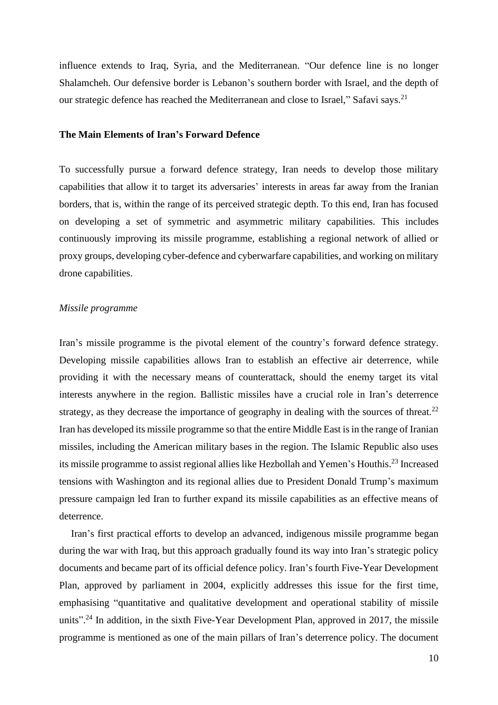influence extends to Iraq, Syria, and the Mediterranean. "Our defence line is no longer Shalamcheh. Our defensive border is Lebanon's southern border with Israel, and the depth of our strategic defence has reached the Mediterranean and close to Israel," Safavi says.<sup>21</sup>

## **The Main Elements of Iran's Forward Defence**

To successfully pursue a forward defence strategy, Iran needs to develop those military capabilities that allow it to target its adversaries' interests in areas far away from the Iranian borders, that is, within the range of its perceived strategic depth. To this end, Iran has focused on developing a set of symmetric and asymmetric military capabilities. This includes continuously improving its missile programme, establishing a regional network of allied or proxy groups, developing cyber-defence and cyberwarfare capabilities, and working on military drone capabilities.

#### *Missile programme*

Iran's missile programme is the pivotal element of the country's forward defence strategy. Developing missile capabilities allows Iran to establish an effective air deterrence, while providing it with the necessary means of counterattack, should the enemy target its vital interests anywhere in the region. Ballistic missiles have a crucial role in Iran's deterrence strategy, as they decrease the importance of geography in dealing with the sources of threat.<sup>22</sup> Iran has developed its missile programme so that the entire Middle East is in the range of Iranian missiles, including the American military bases in the region. The Islamic Republic also uses its missile programme to assist regional allies like Hezbollah and Yemen's Houthis.<sup>23</sup> Increased tensions with Washington and its regional allies due to President Donald Trump's maximum pressure campaign led Iran to further expand its missile capabilities as an effective means of deterrence.

Iran's first practical efforts to develop an advanced, indigenous missile programme began during the war with Iraq, but this approach gradually found its way into Iran's strategic policy documents and became part of its official defence policy. Iran's fourth Five-Year Development Plan, approved by parliament in 2004, explicitly addresses this issue for the first time, emphasising "quantitative and qualitative development and operational stability of missile units".<sup>24</sup> In addition, in the sixth Five-Year Development Plan, approved in 2017, the missile programme is mentioned as one of the main pillars of Iran's deterrence policy. The document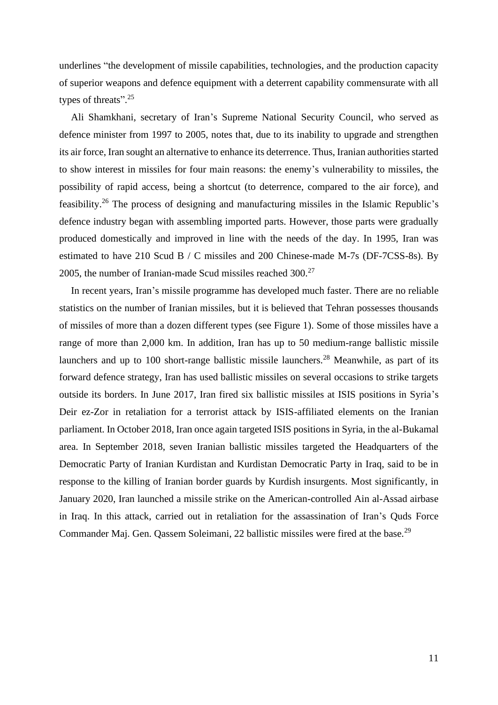underlines "the development of missile capabilities, technologies, and the production capacity of superior weapons and defence equipment with a deterrent capability commensurate with all types of threats".<sup>25</sup>

Ali Shamkhani, secretary of Iran's Supreme National Security Council, who served as defence minister from 1997 to 2005, notes that, due to its inability to upgrade and strengthen its air force, Iran sought an alternative to enhance its deterrence. Thus, Iranian authorities started to show interest in missiles for four main reasons: the enemy's vulnerability to missiles, the possibility of rapid access, being a shortcut (to deterrence, compared to the air force), and feasibility.<sup>26</sup> The process of designing and manufacturing missiles in the Islamic Republic's defence industry began with assembling imported parts. However, those parts were gradually produced domestically and improved in line with the needs of the day. In 1995, Iran was estimated to have 210 Scud B / C missiles and 200 Chinese-made M-7s (DF-7CSS-8s). By 2005, the number of Iranian-made Scud missiles reached  $300<sup>27</sup>$ 

In recent years, Iran's missile programme has developed much faster. There are no reliable statistics on the number of Iranian missiles, but it is believed that Tehran possesses thousands of missiles of more than a dozen different types (see Figure 1). Some of those missiles have a range of more than 2,000 km. In addition, Iran has up to 50 medium-range ballistic missile launchers and up to 100 short-range ballistic missile launchers.<sup>28</sup> Meanwhile, as part of its forward defence strategy, Iran has used ballistic missiles on several occasions to strike targets outside its borders. In June 2017, Iran fired six ballistic missiles at ISIS positions in Syria's Deir ez-Zor in retaliation for a terrorist attack by ISIS-affiliated elements on the Iranian parliament. In October 2018, Iran once again targeted ISIS positions in Syria, in the al-Bukamal area. In September 2018, seven Iranian ballistic missiles targeted the Headquarters of the Democratic Party of Iranian Kurdistan and Kurdistan Democratic Party in Iraq, said to be in response to the killing of Iranian border guards by Kurdish insurgents. Most significantly, in January 2020, Iran launched a missile strike on the American-controlled Ain al-Assad airbase in Iraq. In this attack, carried out in retaliation for the assassination of Iran's Quds Force Commander Maj. Gen. Qassem Soleimani, 22 ballistic missiles were fired at the base.<sup>29</sup>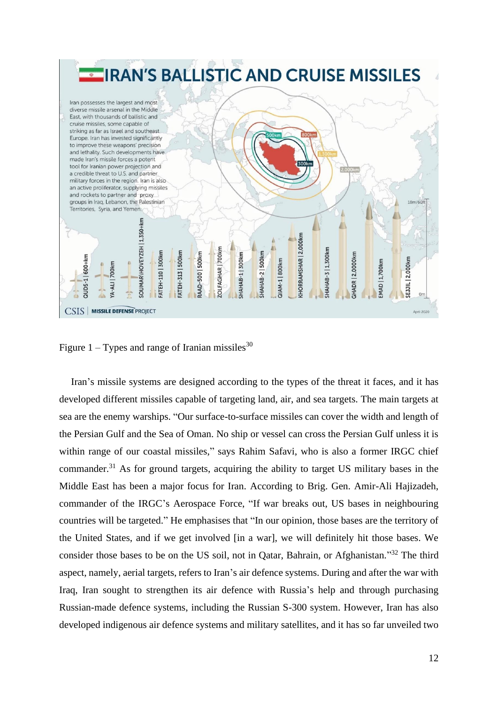

Figure 1 – Types and range of Iranian missiles<sup>30</sup>

Iran's missile systems are designed according to the types of the threat it faces, and it has developed different missiles capable of targeting land, air, and sea targets. The main targets at sea are the enemy warships. "Our surface-to-surface missiles can cover the width and length of the Persian Gulf and the Sea of Oman. No ship or vessel can cross the Persian Gulf unless it is within range of our coastal missiles," says Rahim Safavi, who is also a former IRGC chief commander.<sup>31</sup> As for ground targets, acquiring the ability to target US military bases in the Middle East has been a major focus for Iran. According to Brig. Gen. Amir-Ali Hajizadeh, commander of the IRGC's Aerospace Force, "If war breaks out, US bases in neighbouring countries will be targeted." He emphasises that "In our opinion, those bases are the territory of the United States, and if we get involved [in a war], we will definitely hit those bases. We consider those bases to be on the US soil, not in Qatar, Bahrain, or Afghanistan."<sup>32</sup> The third aspect, namely, aerial targets, refers to Iran's air defence systems. During and after the war with Iraq, Iran sought to strengthen its air defence with Russia's help and through purchasing Russian-made defence systems, including the Russian S-300 system. However, Iran has also developed indigenous air defence systems and military satellites, and it has so far unveiled two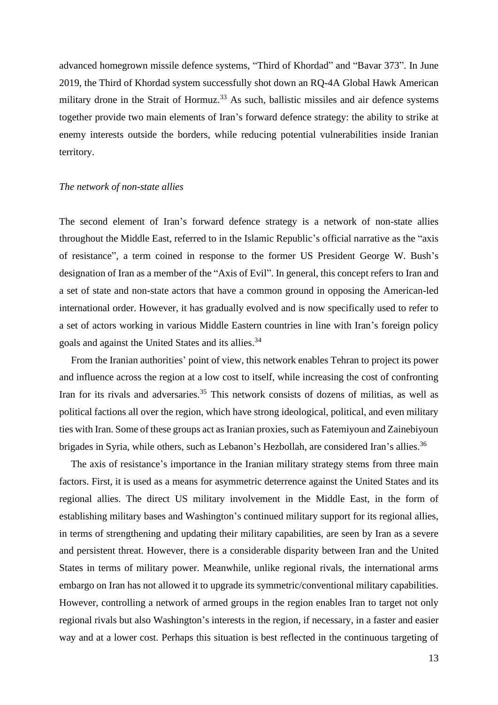advanced homegrown missile defence systems, "Third of Khordad" and "Bavar 373". In June 2019, the Third of Khordad system successfully shot down an RQ-4A Global Hawk American military drone in the Strait of Hormuz.<sup>33</sup> As such, ballistic missiles and air defence systems together provide two main elements of Iran's forward defence strategy: the ability to strike at enemy interests outside the borders, while reducing potential vulnerabilities inside Iranian territory.

#### *The network of non-state allies*

The second element of Iran's forward defence strategy is a network of non-state allies throughout the Middle East, referred to in the Islamic Republic's official narrative as the "axis of resistance", a term coined in response to the former US President George W. Bush's designation of Iran as a member of the "Axis of Evil". In general, this concept refers to Iran and a set of state and non-state actors that have a common ground in opposing the American-led international order. However, it has gradually evolved and is now specifically used to refer to a set of actors working in various Middle Eastern countries in line with Iran's foreign policy goals and against the United States and its allies.<sup>34</sup>

From the Iranian authorities' point of view, this network enables Tehran to project its power and influence across the region at a low cost to itself, while increasing the cost of confronting Iran for its rivals and adversaries.<sup>35</sup> This network consists of dozens of militias, as well as political factions all over the region, which have strong ideological, political, and even military ties with Iran. Some of these groups act as Iranian proxies, such as Fatemiyoun and Zainebiyoun brigades in Syria, while others, such as Lebanon's Hezbollah, are considered Iran's allies.<sup>36</sup>

The axis of resistance's importance in the Iranian military strategy stems from three main factors. First, it is used as a means for asymmetric deterrence against the United States and its regional allies. The direct US military involvement in the Middle East, in the form of establishing military bases and Washington's continued military support for its regional allies, in terms of strengthening and updating their military capabilities, are seen by Iran as a severe and persistent threat. However, there is a considerable disparity between Iran and the United States in terms of military power. Meanwhile, unlike regional rivals, the international arms embargo on Iran has not allowed it to upgrade its symmetric/conventional military capabilities. However, controlling a network of armed groups in the region enables Iran to target not only regional rivals but also Washington's interests in the region, if necessary, in a faster and easier way and at a lower cost. Perhaps this situation is best reflected in the continuous targeting of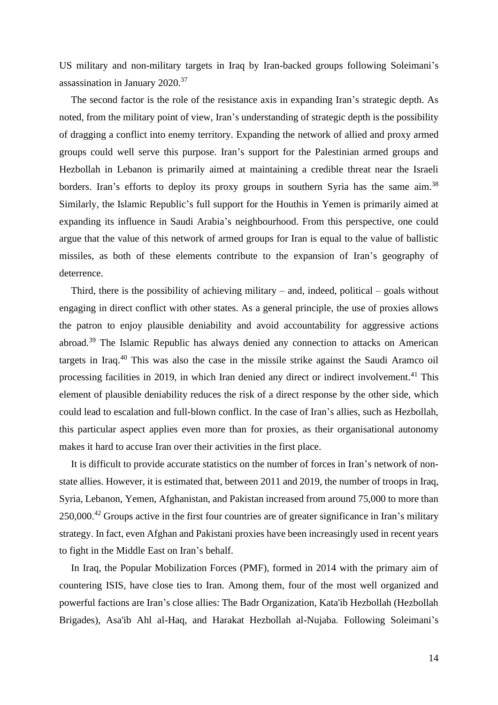US military and non-military targets in Iraq by Iran-backed groups following Soleimani's assassination in January 2020.<sup>37</sup>

The second factor is the role of the resistance axis in expanding Iran's strategic depth. As noted, from the military point of view, Iran's understanding of strategic depth is the possibility of dragging a conflict into enemy territory. Expanding the network of allied and proxy armed groups could well serve this purpose. Iran's support for the Palestinian armed groups and Hezbollah in Lebanon is primarily aimed at maintaining a credible threat near the Israeli borders. Iran's efforts to deploy its proxy groups in southern Syria has the same aim.<sup>38</sup> Similarly, the Islamic Republic's full support for the Houthis in Yemen is primarily aimed at expanding its influence in Saudi Arabia's neighbourhood. From this perspective, one could argue that the value of this network of armed groups for Iran is equal to the value of ballistic missiles, as both of these elements contribute to the expansion of Iran's geography of deterrence.

Third, there is the possibility of achieving military – and, indeed, political – goals without engaging in direct conflict with other states. As a general principle, the use of proxies allows the patron to enjoy plausible deniability and avoid accountability for aggressive actions abroad.<sup>39</sup> The Islamic Republic has always denied any connection to attacks on American targets in Iraq.<sup>40</sup> This was also the case in the missile strike against the Saudi Aramco oil processing facilities in 2019, in which Iran denied any direct or indirect involvement.<sup>41</sup> This element of plausible deniability reduces the risk of a direct response by the other side, which could lead to escalation and full-blown conflict. In the case of Iran's allies, such as Hezbollah, this particular aspect applies even more than for proxies, as their organisational autonomy makes it hard to accuse Iran over their activities in the first place.

It is difficult to provide accurate statistics on the number of forces in Iran's network of nonstate allies. However, it is estimated that, between 2011 and 2019, the number of troops in Iraq, Syria, Lebanon, Yemen, Afghanistan, and Pakistan increased from around 75,000 to more than 250,000.<sup>42</sup> Groups active in the first four countries are of greater significance in Iran's military strategy. In fact, even Afghan and Pakistani proxies have been increasingly used in recent years to fight in the Middle East on Iran's behalf.

In Iraq, the Popular Mobilization Forces (PMF), formed in 2014 with the primary aim of countering ISIS, have close ties to Iran. Among them, four of the most well organized and powerful factions are Iran's close allies: The Badr Organization, Kata'ib Hezbollah (Hezbollah Brigades), Asa'ib Ahl al-Haq, and Harakat Hezbollah al-Nujaba. Following Soleimani's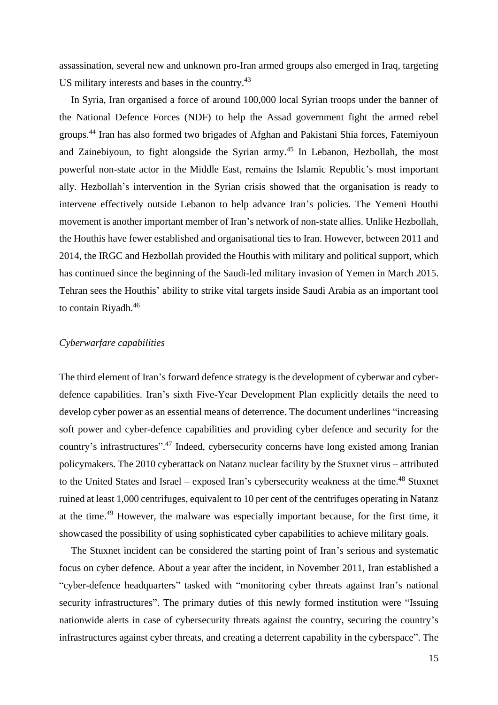assassination, several new and unknown pro-Iran armed groups also emerged in Iraq, targeting US military interests and bases in the country.<sup>43</sup>

In Syria, Iran organised a force of around 100,000 local Syrian troops under the banner of the National Defence Forces (NDF) to help the Assad government fight the armed rebel groups.<sup>44</sup> Iran has also formed two brigades of Afghan and Pakistani Shia forces, Fatemiyoun and Zainebiyoun, to fight alongside the Syrian army.<sup>45</sup> In Lebanon, Hezbollah, the most powerful non-state actor in the Middle East, remains the Islamic Republic's most important ally. Hezbollah's intervention in the Syrian crisis showed that the organisation is ready to intervene effectively outside Lebanon to help advance Iran's policies. The Yemeni Houthi movement is another important member of Iran's network of non-state allies. Unlike Hezbollah, the Houthis have fewer established and organisational ties to Iran. However, between 2011 and 2014, the IRGC and Hezbollah provided the Houthis with military and political support, which has continued since the beginning of the Saudi-led military invasion of Yemen in March 2015. Tehran sees the Houthis' ability to strike vital targets inside Saudi Arabia as an important tool to contain Riyadh.<sup>46</sup>

## *Cyberwarfare capabilities*

The third element of Iran's forward defence strategy is the development of cyberwar and cyberdefence capabilities. Iran's sixth Five-Year Development Plan explicitly details the need to develop cyber power as an essential means of deterrence. The document underlines "increasing soft power and cyber-defence capabilities and providing cyber defence and security for the country's infrastructures".<sup>47</sup> Indeed, cybersecurity concerns have long existed among Iranian policymakers. The 2010 cyberattack on Natanz nuclear facility by the Stuxnet virus – attributed to the United States and Israel – exposed Iran's cybersecurity weakness at the time.<sup>48</sup> Stuxnet ruined at least 1,000 centrifuges, equivalent to 10 per cent of the centrifuges operating in Natanz at the time.<sup>49</sup> However, the malware was especially important because, for the first time, it showcased the possibility of using sophisticated cyber capabilities to achieve military goals.

The Stuxnet incident can be considered the starting point of Iran's serious and systematic focus on cyber defence. About a year after the incident, in November 2011, Iran established a "cyber-defence headquarters" tasked with "monitoring cyber threats against Iran's national security infrastructures". The primary duties of this newly formed institution were "Issuing nationwide alerts in case of cybersecurity threats against the country, securing the country's infrastructures against cyber threats, and creating a deterrent capability in the cyberspace". The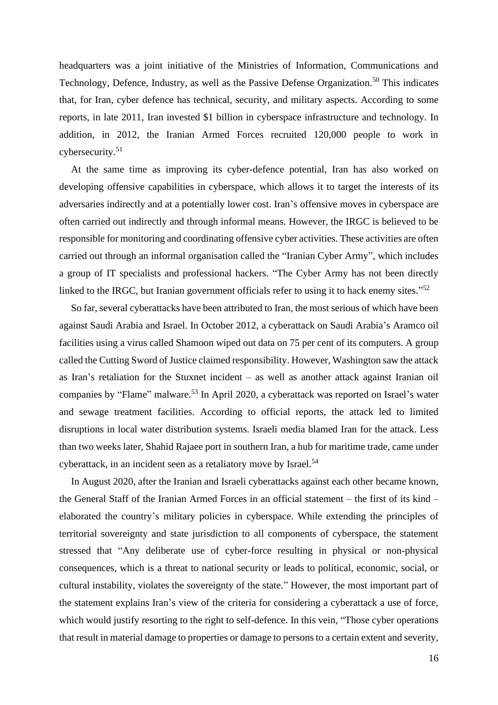headquarters was a joint initiative of the Ministries of Information, Communications and Technology, Defence, Industry, as well as the Passive Defense Organization.<sup>50</sup> This indicates that, for Iran, cyber defence has technical, security, and military aspects. According to some reports, in late 2011, Iran invested \$1 billion in cyberspace infrastructure and technology. In addition, in 2012, the Iranian Armed Forces recruited 120,000 people to work in cybersecurity.<sup>51</sup>

At the same time as improving its cyber-defence potential, Iran has also worked on developing offensive capabilities in cyberspace, which allows it to target the interests of its adversaries indirectly and at a potentially lower cost. Iran's offensive moves in cyberspace are often carried out indirectly and through informal means. However, the IRGC is believed to be responsible for monitoring and coordinating offensive cyber activities. These activities are often carried out through an informal organisation called the "Iranian Cyber Army", which includes a group of IT specialists and professional hackers. "The Cyber Army has not been directly linked to the IRGC, but Iranian government officials refer to using it to hack enemy sites."<sup>52</sup>

So far, several cyberattacks have been attributed to Iran, the most serious of which have been against Saudi Arabia and Israel. In October 2012, a cyberattack on Saudi Arabia's Aramco oil facilities using a virus called Shamoon wiped out data on 75 per cent of its computers. A group called the Cutting Sword of Justice claimed responsibility. However, Washington saw the attack as Iran's retaliation for the Stuxnet incident – as well as another attack against Iranian oil companies by "Flame" malware.<sup>53</sup> In April 2020, a cyberattack was reported on Israel's water and sewage treatment facilities. According to official reports, the attack led to limited disruptions in local water distribution systems. Israeli media blamed Iran for the attack. Less than two weeks later, Shahid Rajaee port in southern Iran, a hub for maritime trade, came under cyberattack, in an incident seen as a retaliatory move by Israel.<sup>54</sup>

In August 2020, after the Iranian and Israeli cyberattacks against each other became known, the General Staff of the Iranian Armed Forces in an official statement – the first of its kind – elaborated the country's military policies in cyberspace. While extending the principles of territorial sovereignty and state jurisdiction to all components of cyberspace, the statement stressed that "Any deliberate use of cyber-force resulting in physical or non-physical consequences, which is a threat to national security or leads to political, economic, social, or cultural instability, violates the sovereignty of the state." However, the most important part of the statement explains Iran's view of the criteria for considering a cyberattack a use of force, which would justify resorting to the right to self-defence. In this vein, "Those cyber operations that result in material damage to properties or damage to persons to a certain extent and severity,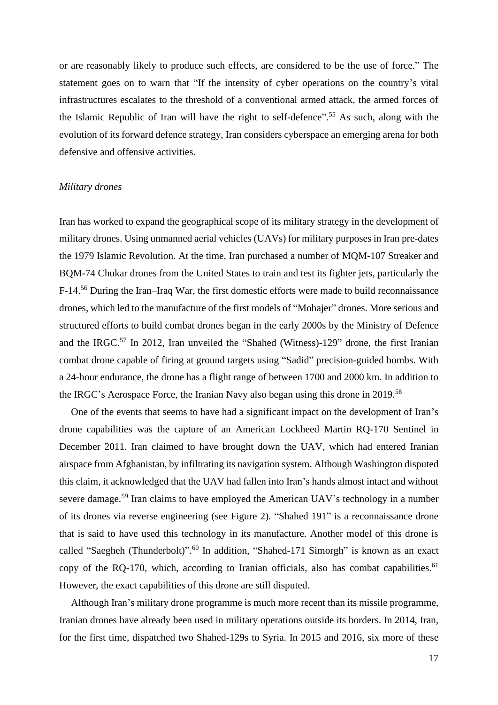or are reasonably likely to produce such effects, are considered to be the use of force." The statement goes on to warn that "If the intensity of cyber operations on the country's vital infrastructures escalates to the threshold of a conventional armed attack, the armed forces of the Islamic Republic of Iran will have the right to self-defence".<sup>55</sup> As such, along with the evolution of its forward defence strategy, Iran considers cyberspace an emerging arena for both defensive and offensive activities.

#### *Military drones*

Iran has worked to expand the geographical scope of its military strategy in the development of military drones. Using unmanned aerial vehicles (UAVs) for military purposes in Iran pre-dates the 1979 Islamic Revolution. At the time, Iran purchased a number of MQM-107 Streaker and BQM-74 Chukar drones from the United States to train and test its fighter jets, particularly the F-14.<sup>56</sup> During the Iran–Iraq War, the first domestic efforts were made to build reconnaissance drones, which led to the manufacture of the first models of "Mohajer" drones. More serious and structured efforts to build combat drones began in the early 2000s by the Ministry of Defence and the IRGC.<sup>57</sup> In 2012, Iran unveiled the "Shahed (Witness)-129" drone, the first Iranian combat drone capable of firing at ground targets using "Sadid" precision-guided bombs. With a 24-hour endurance, the drone has a flight range of between 1700 and 2000 km. In addition to the IRGC's Aerospace Force, the Iranian Navy also began using this drone in 2019.<sup>58</sup>

One of the events that seems to have had a significant impact on the development of Iran's drone capabilities was the capture of an American Lockheed Martin RQ-170 Sentinel in December 2011. Iran claimed to have brought down the UAV, which had entered Iranian airspace from Afghanistan, by infiltrating its navigation system. Although Washington disputed this claim, it acknowledged that the UAV had fallen into Iran's hands almost intact and without severe damage.<sup>59</sup> Iran claims to have employed the American UAV's technology in a number of its drones via reverse engineering (see Figure 2). "Shahed 191" is a reconnaissance drone that is said to have used this technology in its manufacture. Another model of this drone is called "Saegheh (Thunderbolt)".<sup>60</sup> In addition, "Shahed-171 Simorgh" is known as an exact copy of the RQ-170, which, according to Iranian officials, also has combat capabilities.<sup>61</sup> However, the exact capabilities of this drone are still disputed.

Although Iran's military drone programme is much more recent than its missile programme, Iranian drones have already been used in military operations outside its borders. In 2014, Iran, for the first time, dispatched two Shahed-129s to Syria. In 2015 and 2016, six more of these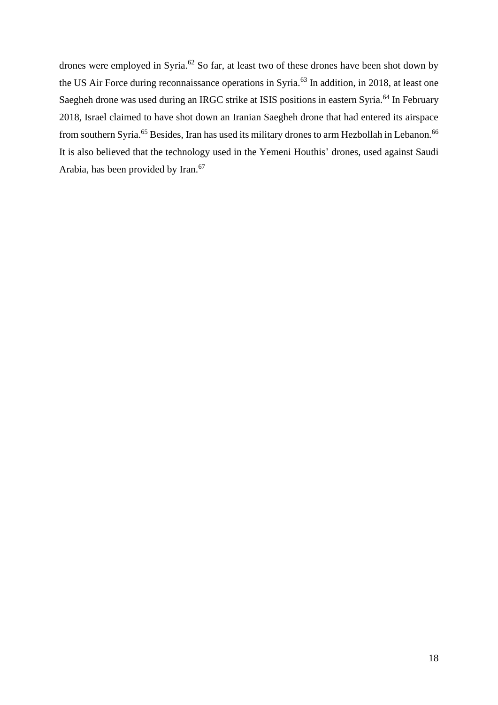drones were employed in Syria.<sup>62</sup> So far, at least two of these drones have been shot down by the US Air Force during reconnaissance operations in Syria.<sup>63</sup> In addition, in 2018, at least one Saegheh drone was used during an IRGC strike at ISIS positions in eastern Syria.<sup>64</sup> In February 2018, Israel claimed to have shot down an Iranian Saegheh drone that had entered its airspace from southern Syria.<sup>65</sup> Besides, Iran has used its military drones to arm Hezbollah in Lebanon.<sup>66</sup> It is also believed that the technology used in the Yemeni Houthis' drones, used against Saudi Arabia, has been provided by Iran.<sup>67</sup>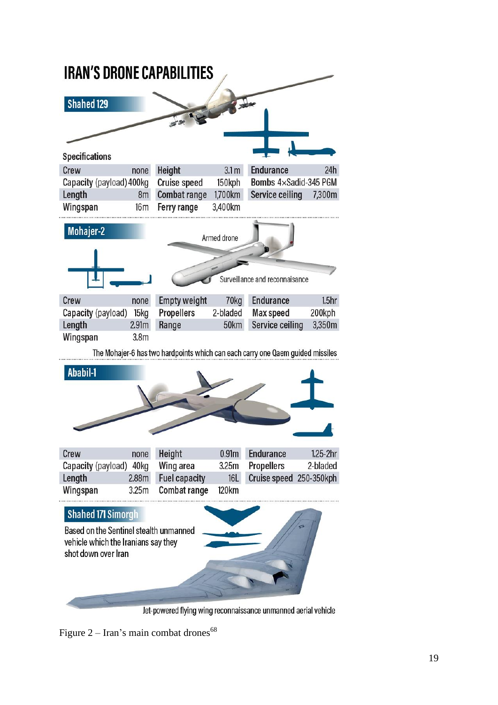

Jet-powered flying wing reconnaissance unmanned aerial vehicle

Figure  $2 -$  Iran's main combat drones<sup>68</sup>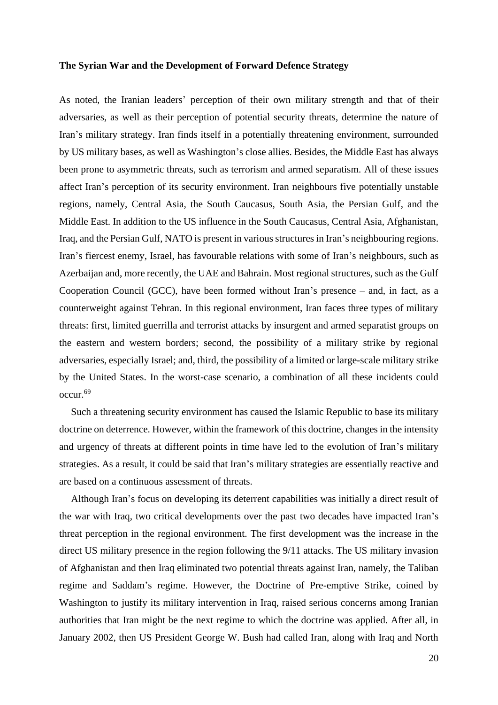#### **The Syrian War and the Development of Forward Defence Strategy**

As noted, the Iranian leaders' perception of their own military strength and that of their adversaries, as well as their perception of potential security threats, determine the nature of Iran's military strategy. Iran finds itself in a potentially threatening environment, surrounded by US military bases, as well as Washington's close allies. Besides, the Middle East has always been prone to asymmetric threats, such as terrorism and armed separatism. All of these issues affect Iran's perception of its security environment. Iran neighbours five potentially unstable regions, namely, Central Asia, the South Caucasus, South Asia, the Persian Gulf, and the Middle East. In addition to the US influence in the South Caucasus, Central Asia, Afghanistan, Iraq, and the Persian Gulf, NATO is present in various structures in Iran's neighbouring regions. Iran's fiercest enemy, Israel, has favourable relations with some of Iran's neighbours, such as Azerbaijan and, more recently, the UAE and Bahrain. Most regional structures, such as the Gulf Cooperation Council (GCC), have been formed without Iran's presence – and, in fact, as a counterweight against Tehran. In this regional environment, Iran faces three types of military threats: first, limited guerrilla and terrorist attacks by insurgent and armed separatist groups on the eastern and western borders; second, the possibility of a military strike by regional adversaries, especially Israel; and, third, the possibility of a limited or large-scale military strike by the United States. In the worst-case scenario, a combination of all these incidents could occur.<sup>69</sup>

Such a threatening security environment has caused the Islamic Republic to base its military doctrine on deterrence. However, within the framework of this doctrine, changes in the intensity and urgency of threats at different points in time have led to the evolution of Iran's military strategies. As a result, it could be said that Iran's military strategies are essentially reactive and are based on a continuous assessment of threats.

Although Iran's focus on developing its deterrent capabilities was initially a direct result of the war with Iraq, two critical developments over the past two decades have impacted Iran's threat perception in the regional environment. The first development was the increase in the direct US military presence in the region following the 9/11 attacks. The US military invasion of Afghanistan and then Iraq eliminated two potential threats against Iran, namely, the Taliban regime and Saddam's regime. However, the Doctrine of Pre-emptive Strike, coined by Washington to justify its military intervention in Iraq, raised serious concerns among Iranian authorities that Iran might be the next regime to which the doctrine was applied. After all, in January 2002, then US President George W. Bush had called Iran, along with Iraq and North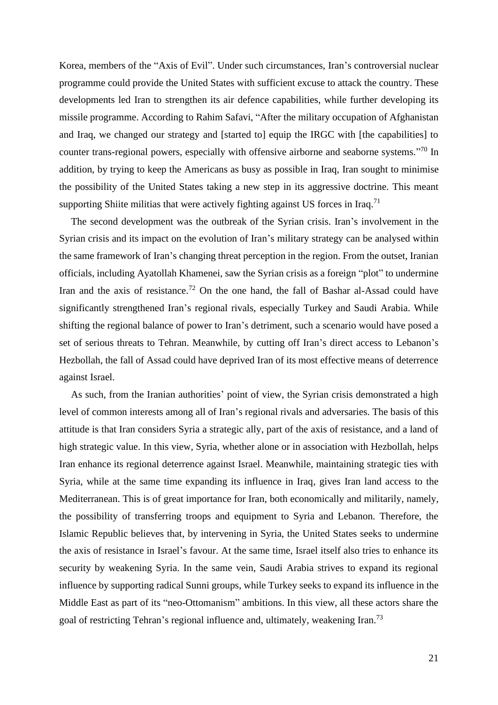Korea, members of the "Axis of Evil". Under such circumstances, Iran's controversial nuclear programme could provide the United States with sufficient excuse to attack the country. These developments led Iran to strengthen its air defence capabilities, while further developing its missile programme. According to Rahim Safavi, "After the military occupation of Afghanistan and Iraq, we changed our strategy and [started to] equip the IRGC with [the capabilities] to counter trans-regional powers, especially with offensive airborne and seaborne systems."<sup>70</sup> In addition, by trying to keep the Americans as busy as possible in Iraq, Iran sought to minimise the possibility of the United States taking a new step in its aggressive doctrine. This meant supporting Shiite militias that were actively fighting against US forces in Iraq.<sup>71</sup>

The second development was the outbreak of the Syrian crisis. Iran's involvement in the Syrian crisis and its impact on the evolution of Iran's military strategy can be analysed within the same framework of Iran's changing threat perception in the region. From the outset, Iranian officials, including Ayatollah Khamenei, saw the Syrian crisis as a foreign "plot" to undermine Iran and the axis of resistance.<sup>72</sup> On the one hand, the fall of Bashar al-Assad could have significantly strengthened Iran's regional rivals, especially Turkey and Saudi Arabia. While shifting the regional balance of power to Iran's detriment, such a scenario would have posed a set of serious threats to Tehran. Meanwhile, by cutting off Iran's direct access to Lebanon's Hezbollah, the fall of Assad could have deprived Iran of its most effective means of deterrence against Israel.

As such, from the Iranian authorities' point of view, the Syrian crisis demonstrated a high level of common interests among all of Iran's regional rivals and adversaries. The basis of this attitude is that Iran considers Syria a strategic ally, part of the axis of resistance, and a land of high strategic value. In this view, Syria, whether alone or in association with Hezbollah, helps Iran enhance its regional deterrence against Israel. Meanwhile, maintaining strategic ties with Syria, while at the same time expanding its influence in Iraq, gives Iran land access to the Mediterranean. This is of great importance for Iran, both economically and militarily, namely, the possibility of transferring troops and equipment to Syria and Lebanon. Therefore, the Islamic Republic believes that, by intervening in Syria, the United States seeks to undermine the axis of resistance in Israel's favour. At the same time, Israel itself also tries to enhance its security by weakening Syria. In the same vein, Saudi Arabia strives to expand its regional influence by supporting radical Sunni groups, while Turkey seeks to expand its influence in the Middle East as part of its "neo-Ottomanism" ambitions. In this view, all these actors share the goal of restricting Tehran's regional influence and, ultimately, weakening Iran.<sup>73</sup>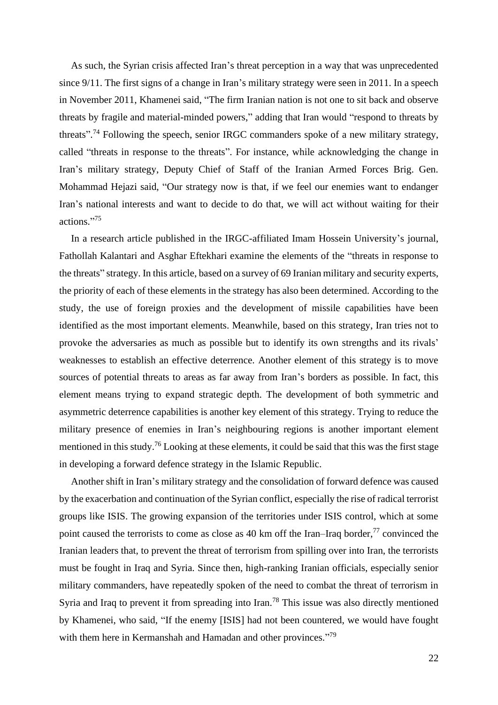As such, the Syrian crisis affected Iran's threat perception in a way that was unprecedented since 9/11. The first signs of a change in Iran's military strategy were seen in 2011. In a speech in November 2011, Khamenei said, "The firm Iranian nation is not one to sit back and observe threats by fragile and material-minded powers," adding that Iran would "respond to threats by threats".<sup>74</sup> Following the speech, senior IRGC commanders spoke of a new military strategy, called "threats in response to the threats". For instance, while acknowledging the change in Iran's military strategy, Deputy Chief of Staff of the Iranian Armed Forces Brig. Gen. Mohammad Hejazi said, "Our strategy now is that, if we feel our enemies want to endanger Iran's national interests and want to decide to do that, we will act without waiting for their actions." 75

In a research article published in the IRGC-affiliated Imam Hossein University's journal, Fathollah Kalantari and Asghar Eftekhari examine the elements of the "threats in response to the threats" strategy. In this article, based on a survey of 69 Iranian military and security experts, the priority of each of these elements in the strategy has also been determined. According to the study, the use of foreign proxies and the development of missile capabilities have been identified as the most important elements. Meanwhile, based on this strategy, Iran tries not to provoke the adversaries as much as possible but to identify its own strengths and its rivals' weaknesses to establish an effective deterrence. Another element of this strategy is to move sources of potential threats to areas as far away from Iran's borders as possible. In fact, this element means trying to expand strategic depth. The development of both symmetric and asymmetric deterrence capabilities is another key element of this strategy. Trying to reduce the military presence of enemies in Iran's neighbouring regions is another important element mentioned in this study.<sup>76</sup> Looking at these elements, it could be said that this was the first stage in developing a forward defence strategy in the Islamic Republic.

Another shift in Iran's military strategy and the consolidation of forward defence was caused by the exacerbation and continuation of the Syrian conflict, especially the rise of radical terrorist groups like ISIS. The growing expansion of the territories under ISIS control, which at some point caused the terrorists to come as close as 40 km off the Iran–Iraq border, $^{77}$  convinced the Iranian leaders that, to prevent the threat of terrorism from spilling over into Iran, the terrorists must be fought in Iraq and Syria. Since then, high-ranking Iranian officials, especially senior military commanders, have repeatedly spoken of the need to combat the threat of terrorism in Syria and Iraq to prevent it from spreading into Iran.<sup>78</sup> This issue was also directly mentioned by Khamenei, who said, "If the enemy [ISIS] had not been countered, we would have fought with them here in Kermanshah and Hamadan and other provinces."<sup>79</sup>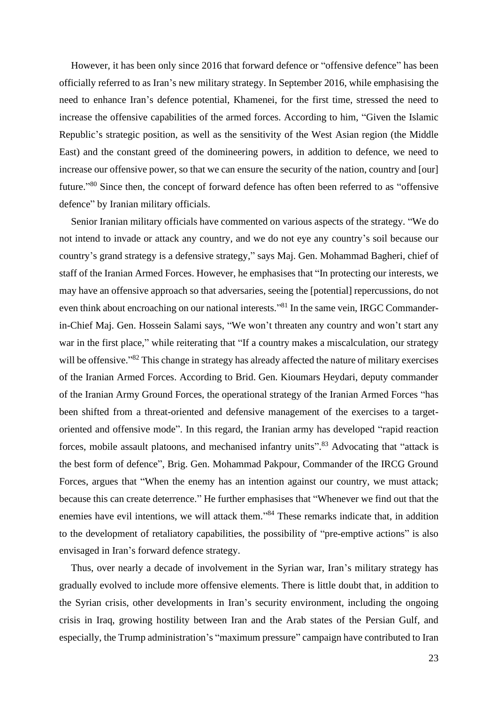However, it has been only since 2016 that forward defence or "offensive defence" has been officially referred to as Iran's new military strategy. In September 2016, while emphasising the need to enhance Iran's defence potential, Khamenei, for the first time, stressed the need to increase the offensive capabilities of the armed forces. According to him, "Given the Islamic Republic's strategic position, as well as the sensitivity of the West Asian region (the Middle East) and the constant greed of the domineering powers, in addition to defence, we need to increase our offensive power, so that we can ensure the security of the nation, country and [our] future."<sup>80</sup> Since then, the concept of forward defence has often been referred to as "offensive defence" by Iranian military officials.

Senior Iranian military officials have commented on various aspects of the strategy. "We do not intend to invade or attack any country, and we do not eye any country's soil because our country's grand strategy is a defensive strategy," says Maj. Gen. Mohammad Bagheri, chief of staff of the Iranian Armed Forces. However, he emphasises that "In protecting our interests, we may have an offensive approach so that adversaries, seeing the [potential] repercussions, do not even think about encroaching on our national interests."<sup>81</sup> In the same vein, IRGC Commanderin-Chief Maj. Gen. Hossein Salami says, "We won't threaten any country and won't start any war in the first place," while reiterating that "If a country makes a miscalculation, our strategy will be offensive."<sup>82</sup> This change in strategy has already affected the nature of military exercises of the Iranian Armed Forces. According to Brid. Gen. Kioumars Heydari, deputy commander of the Iranian Army Ground Forces, the operational strategy of the Iranian Armed Forces "has been shifted from a threat-oriented and defensive management of the exercises to a targetoriented and offensive mode". In this regard, the Iranian army has developed "rapid reaction forces, mobile assault platoons, and mechanised infantry units".<sup>83</sup> Advocating that "attack is the best form of defence", Brig. Gen. Mohammad Pakpour, Commander of the IRCG Ground Forces, argues that "When the enemy has an intention against our country, we must attack; because this can create deterrence." He further emphasises that "Whenever we find out that the enemies have evil intentions, we will attack them."<sup>84</sup> These remarks indicate that, in addition to the development of retaliatory capabilities, the possibility of "pre-emptive actions" is also envisaged in Iran's forward defence strategy.

Thus, over nearly a decade of involvement in the Syrian war, Iran's military strategy has gradually evolved to include more offensive elements. There is little doubt that, in addition to the Syrian crisis, other developments in Iran's security environment, including the ongoing crisis in Iraq, growing hostility between Iran and the Arab states of the Persian Gulf, and especially, the Trump administration's "maximum pressure" campaign have contributed to Iran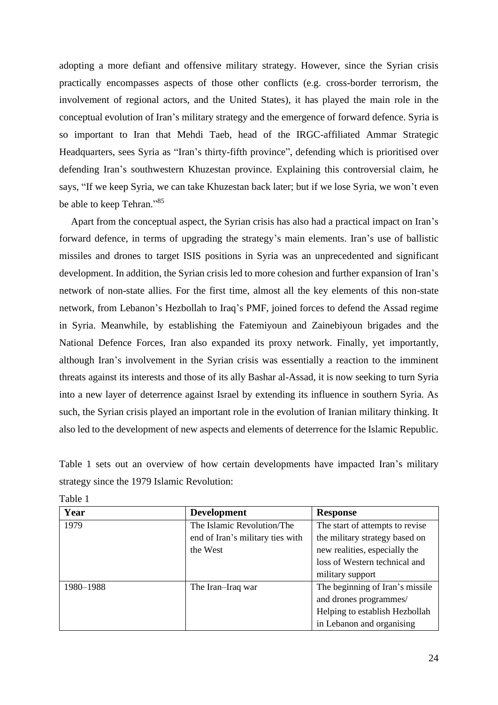adopting a more defiant and offensive military strategy. However, since the Syrian crisis practically encompasses aspects of those other conflicts (e.g. cross-border terrorism, the involvement of regional actors, and the United States), it has played the main role in the conceptual evolution of Iran's military strategy and the emergence of forward defence. Syria is so important to Iran that Mehdi Taeb, head of the IRGC-affiliated Ammar Strategic Headquarters, sees Syria as "Iran's thirty-fifth province", defending which is prioritised over defending Iran's southwestern Khuzestan province. Explaining this controversial claim, he says, "If we keep Syria, we can take Khuzestan back later; but if we lose Syria, we won't even be able to keep Tehran."85

Apart from the conceptual aspect, the Syrian crisis has also had a practical impact on Iran's forward defence, in terms of upgrading the strategy's main elements. Iran's use of ballistic missiles and drones to target ISIS positions in Syria was an unprecedented and significant development. In addition, the Syrian crisis led to more cohesion and further expansion of Iran's network of non-state allies. For the first time, almost all the key elements of this non-state network, from Lebanon's Hezbollah to Iraq's PMF, joined forces to defend the Assad regime in Syria. Meanwhile, by establishing the Fatemiyoun and Zainebiyoun brigades and the National Defence Forces, Iran also expanded its proxy network. Finally, yet importantly, although Iran's involvement in the Syrian crisis was essentially a reaction to the imminent threats against its interests and those of its ally Bashar al-Assad, it is now seeking to turn Syria into a new layer of deterrence against Israel by extending its influence in southern Syria. As such, the Syrian crisis played an important role in the evolution of Iranian military thinking. It also led to the development of new aspects and elements of deterrence for the Islamic Republic.

Table 1 sets out an overview of how certain developments have impacted Iran's military strategy since the 1979 Islamic Revolution:

| Year      | <b>Development</b>               | <b>Response</b>                 |
|-----------|----------------------------------|---------------------------------|
| 1979      | The Islamic Revolution/The       | The start of attempts to revise |
|           | end of Iran's military ties with | the military strategy based on  |
|           | the West                         | new realities, especially the   |
|           |                                  | loss of Western technical and   |
|           |                                  | military support                |
| 1980-1988 | The Iran-Iraq war                | The beginning of Iran's missile |
|           |                                  | and drones programmes/          |
|           |                                  | Helping to establish Hezbollah  |
|           |                                  | in Lebanon and organising       |

Table 1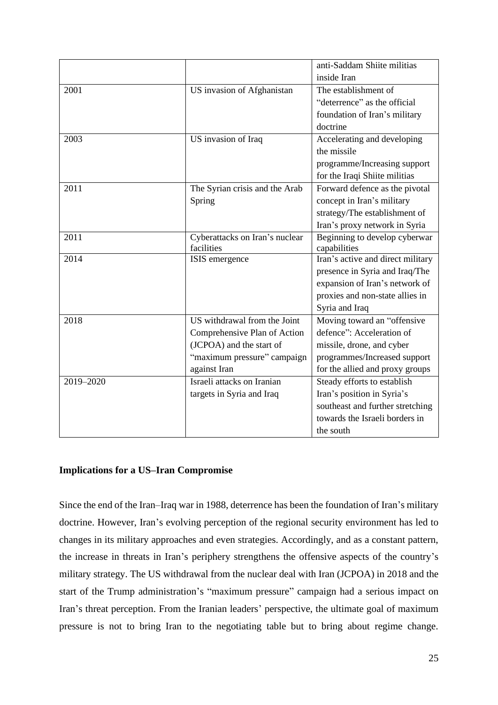|           |                                | anti-Saddam Shiite militias       |
|-----------|--------------------------------|-----------------------------------|
|           |                                | inside Iran                       |
| 2001      | US invasion of Afghanistan     | The establishment of              |
|           |                                | "deterrence" as the official      |
|           |                                | foundation of Iran's military     |
|           |                                | doctrine                          |
| 2003      | US invasion of Iraq            | Accelerating and developing       |
|           |                                | the missile                       |
|           |                                | programme/Increasing support      |
|           |                                | for the Iraqi Shiite militias     |
| 2011      | The Syrian crisis and the Arab | Forward defence as the pivotal    |
|           | Spring                         | concept in Iran's military        |
|           |                                | strategy/The establishment of     |
|           |                                | Iran's proxy network in Syria     |
| 2011      | Cyberattacks on Iran's nuclear | Beginning to develop cyberwar     |
|           | facilities                     | capabilities                      |
| 2014      | ISIS emergence                 | Iran's active and direct military |
|           |                                | presence in Syria and Iraq/The    |
|           |                                | expansion of Iran's network of    |
|           |                                | proxies and non-state allies in   |
|           |                                | Syria and Iraq                    |
| 2018      | US withdrawal from the Joint   | Moving toward an "offensive       |
|           | Comprehensive Plan of Action   | defence": Acceleration of         |
|           | (JCPOA) and the start of       | missile, drone, and cyber         |
|           | "maximum pressure" campaign    | programmes/Increased support      |
|           | against Iran                   | for the allied and proxy groups   |
| 2019-2020 | Israeli attacks on Iranian     | Steady efforts to establish       |
|           | targets in Syria and Iraq      | Iran's position in Syria's        |
|           |                                | southeast and further stretching  |
|           |                                | towards the Israeli borders in    |
|           |                                | the south                         |

# **Implications for a US–Iran Compromise**

Since the end of the Iran–Iraq war in 1988, deterrence has been the foundation of Iran's military doctrine. However, Iran's evolving perception of the regional security environment has led to changes in its military approaches and even strategies. Accordingly, and as a constant pattern, the increase in threats in Iran's periphery strengthens the offensive aspects of the country's military strategy. The US withdrawal from the nuclear deal with Iran (JCPOA) in 2018 and the start of the Trump administration's "maximum pressure" campaign had a serious impact on Iran's threat perception. From the Iranian leaders' perspective, the ultimate goal of maximum pressure is not to bring Iran to the negotiating table but to bring about regime change.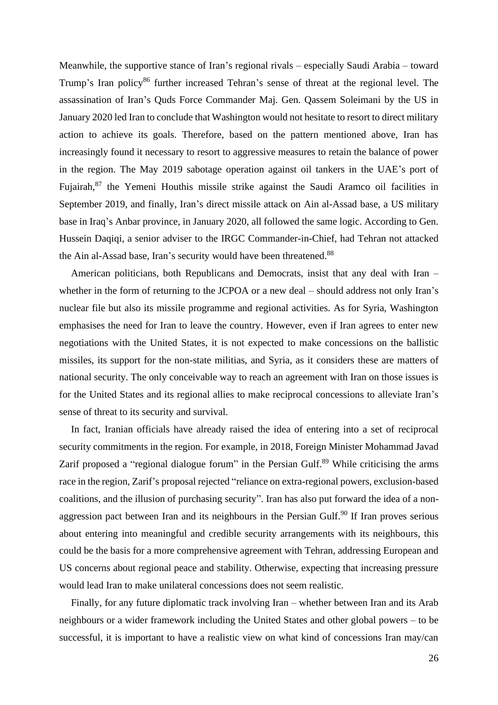Meanwhile, the supportive stance of Iran's regional rivals – especially Saudi Arabia – toward Trump's Iran policy<sup>86</sup> further increased Tehran's sense of threat at the regional level. The assassination of Iran's Quds Force Commander Maj. Gen. Qassem Soleimani by the US in January 2020 led Iran to conclude that Washington would not hesitate to resort to direct military action to achieve its goals. Therefore, based on the pattern mentioned above, Iran has increasingly found it necessary to resort to aggressive measures to retain the balance of power in the region. The May 2019 sabotage operation against oil tankers in the UAE's port of Fujairah,<sup>87</sup> the Yemeni Houthis missile strike against the Saudi Aramco oil facilities in September 2019, and finally, Iran's direct missile attack on Ain al-Assad base, a US military base in Iraq's Anbar province, in January 2020, all followed the same logic. According to Gen. Hussein Daqiqi, a senior adviser to the IRGC Commander-in-Chief, had Tehran not attacked the Ain al-Assad base, Iran's security would have been threatened.<sup>88</sup>

American politicians, both Republicans and Democrats, insist that any deal with Iran – whether in the form of returning to the JCPOA or a new deal – should address not only Iran's nuclear file but also its missile programme and regional activities. As for Syria, Washington emphasises the need for Iran to leave the country. However, even if Iran agrees to enter new negotiations with the United States, it is not expected to make concessions on the ballistic missiles, its support for the non-state militias, and Syria, as it considers these are matters of national security. The only conceivable way to reach an agreement with Iran on those issues is for the United States and its regional allies to make reciprocal concessions to alleviate Iran's sense of threat to its security and survival.

In fact, Iranian officials have already raised the idea of entering into a set of reciprocal security commitments in the region. For example, in 2018, Foreign Minister Mohammad Javad Zarif proposed a "regional dialogue forum" in the Persian Gulf.<sup>89</sup> While criticising the arms race in the region, Zarif's proposal rejected "reliance on extra-regional powers, exclusion-based coalitions, and the illusion of purchasing security". Iran has also put forward the idea of a nonaggression pact between Iran and its neighbours in the Persian Gulf.<sup>90</sup> If Iran proves serious about entering into meaningful and credible security arrangements with its neighbours, this could be the basis for a more comprehensive agreement with Tehran, addressing European and US concerns about regional peace and stability. Otherwise, expecting that increasing pressure would lead Iran to make unilateral concessions does not seem realistic.

Finally, for any future diplomatic track involving Iran – whether between Iran and its Arab neighbours or a wider framework including the United States and other global powers – to be successful, it is important to have a realistic view on what kind of concessions Iran may/can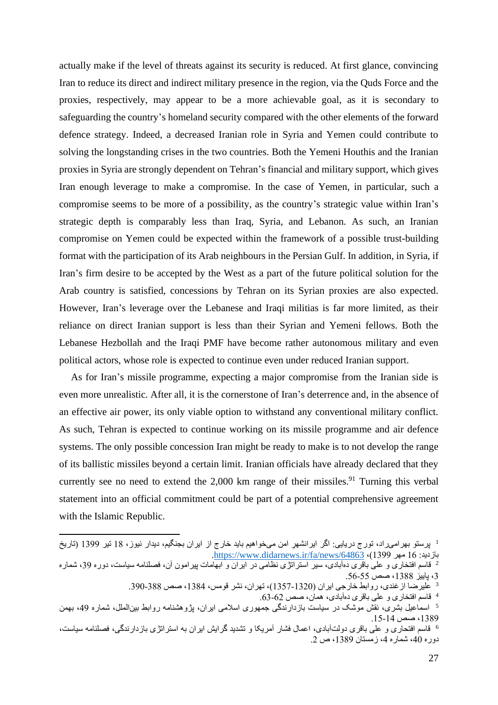actually make if the level of threats against its security is reduced. At first glance, convincing Iran to reduce its direct and indirect military presence in the region, via the Quds Force and the proxies, respectively, may appear to be a more achievable goal, as it is secondary to safeguarding the country's homeland security compared with the other elements of the forward defence strategy. Indeed, a decreased Iranian role in Syria and Yemen could contribute to solving the longstanding crises in the two countries. Both the Yemeni Houthis and the Iranian proxies in Syria are strongly dependent on Tehran's financial and military support, which gives Iran enough leverage to make a compromise. In the case of Yemen, in particular, such a compromise seems to be more of a possibility, as the country's strategic value within Iran's strategic depth is comparably less than Iraq, Syria, and Lebanon. As such, an Iranian compromise on Yemen could be expected within the framework of a possible trust-building format with the participation of its Arab neighbours in the Persian Gulf. In addition, in Syria, if Iran's firm desire to be accepted by the West as a part of the future political solution for the Arab country is satisfied, concessions by Tehran on its Syrian proxies are also expected. However, Iran's leverage over the Lebanese and Iraqi militias is far more limited, as their reliance on direct Iranian support is less than their Syrian and Yemeni fellows. Both the Lebanese Hezbollah and the Iraqi PMF have become rather autonomous military and even political actors, whose role is expected to continue even under reduced Iranian support.

As for Iran's missile programme, expecting a major compromise from the Iranian side is even more unrealistic. After all, it is the cornerstone of Iran's deterrence and, in the absence of an effective air power, its only viable option to withstand any conventional military conflict. As such, Tehran is expected to continue working on its missile programme and air defence systems. The only possible concession Iran might be ready to make is to not develop the range of its ballistic missiles beyond a certain limit. Iranian officials have already declared that they currently see no need to extend the 2,000 km range of their missiles.<sup>91</sup> Turning this verbal statement into an official commitment could be part of a potential comprehensive agreement with the Islamic Republic.

6 قاسم افتحاری و علی باقری دولت آبادی، اعمال فشار آمریکا و تشدید گرایش ایران به استراتژی بازدارندگی، فصلنامه سیاست، دوره 40، شماره 4، زمستان 1389، ص 2.

<sup>&</sup>lt;sup>1</sup> برستو بهرامیراد، تورج دریایی: اگر ایرانشهر امن میخواهیم باید خارج از ایران بجنگیم، دیدار نیوز، 18 تیر 1399 (تاریخ [.https://www.didarnews.ir/fa/news/64863](https://www.didarnews.ir/fa/news/64863) ،)1399 مهر 16 :بازدید

<sup>2</sup> قاسم افتخاری و علی باقری ده آبادی، سیر استراتژی نظامی در ایران و ابهامات پیرامون آن، فصلنامه سیاست، دوره ،39 شماره ،3 پاییز ،1388 صص -55 .56

<sup>&</sup>lt;sup>3</sup> علیرضا از غندی، روابط خارجی ایران (1320-1357)، تهران، نشر قومس، 1384، صص 388-390.

<sup>&</sup>lt;sup>4</sup> قاسم افتخاری و علمی باقری دهآبادی، همان، صص 62-63.

<sup>&</sup>lt;sup>5</sup> اسماعیل بشری، نقش موشک در سیاست بازدارندگی جمهوری اسلامی ایران، پژوهشنامه روابط بینالملل، شماره 49، بهمن ،1389 صص -14 .15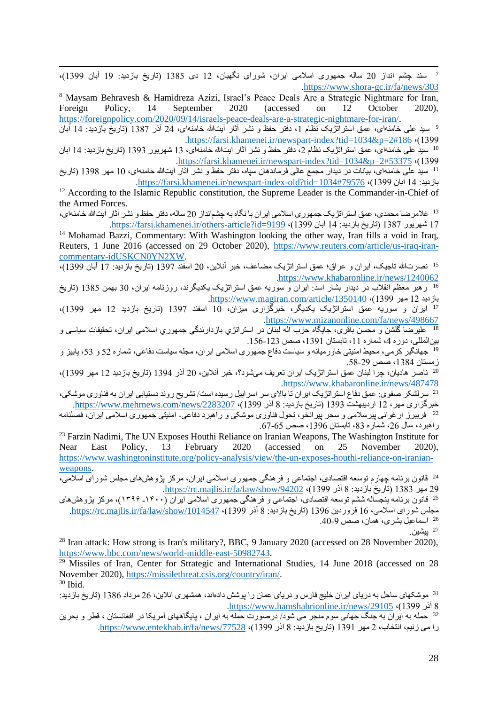7 سند چشم انداز 20 ساله جمهوری اسالمی ایران، شورای نگهبان، 12 دی 1385 )تاریخ بازدید: 19 آبان 1399(، [.https://www.shora-gc.ir/fa/news/303](https://www.shora-gc.ir/fa/news/303)

<sup>8</sup> Maysam Behravesh & Hamidreza Azizi, Israel's Peace Deals Are a Strategic Nightmare for Iran, Foreign Policy, 14 September 2020 (accessed on 12 October 2020), [https://foreignpolicy.com/2020/09/14/israels-peace-deals-are-a-strategic-nightmare-for-iran/.](https://foreignpolicy.com/2020/09/14/israels-peace-deals-are-a-strategic-nightmare-for-iran/)

<sup>9</sup> سید علی خامنهای، عمق استراتژیک نظام 1، دفتر حفظ و نشر آثار آیتالله خامنهای، 24 آذر 1387 (تاریخ بازدید: 14 آبان [.https://farsi.khamenei.ir/newspart-index?tid=1034&p=2#186](https://farsi.khamenei.ir/newspart-index?tid=1034&p=2#186)  $\cdot$ (1399 <sup>10</sup> سید علی خامنهای، عمق استراتژیک نظام 2، دفتر حفظ و نشر آثار آیتالله خامنهای، 13 شهریور 1393 (تاریخ بازدید: 14 آبان

[.https://farsi.khamenei.ir/newspart-index?tid=1034&p=2#53375](https://farsi.khamenei.ir/newspart-index?tid=1034&p=2#53375) (1399

<sup>11</sup> سید علی خامنه ای، بیانات در دیدار مجمع عالی فرماندهان سیاه، دفتر حفظ و نشر آثار آیت\لله خامنه|ی، 10 مهر 1398 (تاریخ [.https://farsi.khamenei.ir/newspart-index-old?tid=1034#79576](https://farsi.khamenei.ir/newspart-index-old?tid=1034#79576) ،)1399 آبان 14 :بازدید

<sup>12</sup> According to the Islamic Republic constitution, the Supreme Leader is the Commander-in-Chief of the Armed Forces.

 $^{13}$ غلامر ضا محمدی، عمق استر اتژیک جمهوری اسلامی ایر ان با نگاه به چشم|نداز 20 ساله، دفتر حفظ و نشر آثار آیتالله خامنه|ی، 17 شهریور 1387 (تاریخ بازدید: 14 آبان 1399–https://farsi.khamenei.ir/others-article?id=9199.

<sup>14</sup> Mohamad Bazzi, Commentary: With Washington looking the other way, Iran fills a void in Iraq, Reuters, 1 June 2016 (accessed on 29 October 2020), [https://www.reuters.com/article/us-iraq-iran](https://www.reuters.com/article/us-iraq-iran-commentary-idUSKCN0YN2XW)[commentary-idUSKCN0YN2XW.](https://www.reuters.com/article/us-iraq-iran-commentary-idUSKCN0YN2XW)

<sup>15</sup> نصرت الله تاجیک، ایران و عراق؛ عمق استراتژیک مضاعف، خبر آنلاین، 20 اسفند 1397 (تاریخ بازدید: 17 آبان 1399)، [.https://www.khabaronline.ir/news/1240062](https://www.khabaronline.ir/news/1240062)

<sup>16</sup> رهبر معظم انقلاب در دیدار بشار اسد: ایران و سوریه عمق استراتژیک یکدیگرند، روزنامه ایران، 30 بهمن 1385 (تاریخ [.https://www.magiran.com/article/1350140](https://www.magiran.com/article/1350140) ،)1399 مهر 12 بازدید

<sup>17</sup> ایران و سوریه عمق استراتژیک یکدیگر، خبرگزاری میزان، 10 اسفند 1397 (تاریخ بازدید 12 مهر 1399)، [.https://www.mizanonline.com/fa/news/498667](https://www.mizanonline.com/fa/news/498667)

<sup>18</sup> علیرضا گلشن و محسن باقری، جایگاه حزب اله لبنان در استراتژی بازدارندگی جمهوری اسلامی ایران، تحقیقات سیاسی و بینالمللی، دوره ،4 شماره ،11 تابستان ،1391 صص -123 .156

<sup>19</sup> جهانگیر کرمی، محیط امنیتی خاورمیانه و سیاست دفاع جمهوری اسلامی ایران، مجله سیاست دفاعی، شماره 52 و 53، پاییز و زمستان ،1384 صص -29 .58

 ناصر هادیان، چرا لبنان عمق استراتژیک ایران تعریف می شود؟، خبر آنالین، 20 آذر 1394 )تاریخ بازدید 12 مهر 1399(، <sup>20</sup>  [.https://www.khabaronline.ir/news/487478](https://www.khabaronline.ir/news/487478)

<sup>21</sup> سرلشکر صفوی: عمق دفاع استراتژیک ایران تا بالای سر اسراییل رسیده است/ تشریح روند دستیابی ایران به فناوری موشکی، خبرگزاری مهر، 12 اردیبهشت 1393 (تاریخ بازدید: 8 آذر 1399)، https://www.mehrnews.com/news/2283207. <sup>22</sup> فریبرز ارغوانی پیرسلامی و سحر پیرانخو، تحول فناوری موشکی و راهبرد دفاعی- امنیتی جمهوری اسلامی ایران، فصلنامه راهبرد، سال 26، شماره 83، تابستان 1396، صص 65-67.

<sup>23</sup> Farzin Nadimi, The UN Exposes Houthi Reliance on Iranian Weapons, The Washington Institute for Near East Policy, 13 February 2020 (accessed on 25 November 2020), [https://www.washingtoninstitute.org/policy-analysis/view/the-un-exposes-houthi-reliance-on-iranian](https://www.washingtoninstitute.org/policy-analysis/view/the-un-exposes-houthi-reliance-on-iranian-weapons)[weapons.](https://www.washingtoninstitute.org/policy-analysis/view/the-un-exposes-houthi-reliance-on-iranian-weapons)

<sup>24</sup> قانون برنامه چهارم توسعه اقتصادی، اجتماعی و فرهنگی جمهوری اسلامی ایران، مرکز پژوهشهای مجلس شورای اسلامی، [.https://rc.majlis.ir/fa/law/show/94202](https://rc.majlis.ir/fa/law/show/94202) ،)1399 آذر 8 :بازدید تاریخ )1383 مهر 29

<sup>25</sup> قانون برنامه پنجساله ششم توسعه اقتصادی، اجتماعی و فرهنگ<u>ی جمهوری</u> اسلامی ایران (۱۴۰۰\_ ۱۳۹۶)، مرکز بژوهش *های* مجلس شورای اسلامی، 16 فروردین 1396 (تاریخ بازدید: 8 آذر 1399)، https://rc.majlis.ir/fa/law/show/1014547. <sup>26</sup> اسماعیل بشری، همان، صص 9-40.

.<br><sup>27</sup> بیشین.

<sup>28</sup> Iran attack: How strong is Iran's military?, BBC, 9 January 2020 (accessed on 28 November 2020), [https://www.bbc.com/news/world-middle-east-50982743.](https://www.bbc.com/news/world-middle-east-50982743)

 $29$  Missiles of Iran, Center for Strategic and International Studies, 14 June 2018 (accessed on 28 November 2020), [https://missilethreat.csis.org/country/iran/.](https://missilethreat.csis.org/country/iran/)  $30$  Ibid.

<sup>31</sup> موشکهای ساحل به دریای ایران خلیج فارس و دریای عمان را پوشش دادهاند، همشهری آنلاین، 26 مرداد 1386 (تاریخ بازدید: [.https://www.hamshahrionline.ir/news/29105](https://www.hamshahrionline.ir/news/29105) ،(1399 آذر

<sup>32</sup> حمله به ایران به جنگ جهانی سوم منجر می شود/ درصورت حمله به ایران ، پایگاههای آمریکا در افغانستان ، قطر و بحرین را می زنیم، انتخاب، 2 مهر 1391 (تاریخ بازدید: 8 آذر 1399)، https://www.entekhab.ir/fa/news/77528.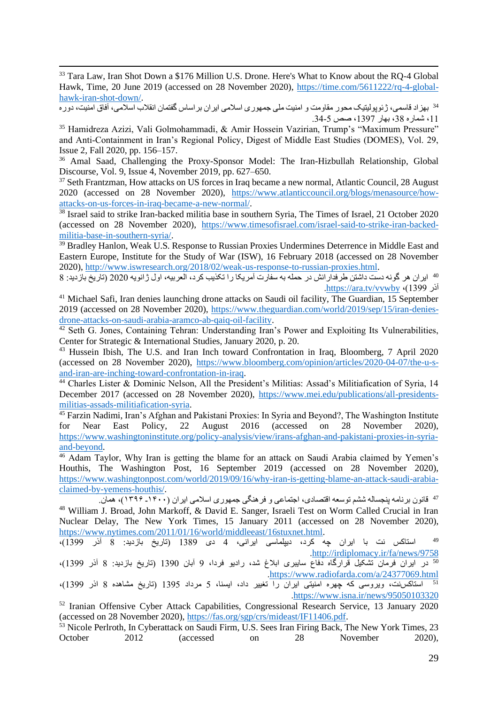<sup>33</sup> Tara Law, Iran Shot Down a \$176 Million U.S. Drone. Here's What to Know about the RQ-4 Global Hawk, Time, 20 June 2019 (accessed on 28 November 2020), [https://time.com/5611222/rq-4-global](https://time.com/5611222/rq-4-global-hawk-iran-shot-down/)[hawk-iran-shot-down/.](https://time.com/5611222/rq-4-global-hawk-iran-shot-down/)

<sup>34</sup> بهزاد قاسمی، ژئوپولیتیک محور مقاومت و امنیت ملی جمهوری اسلامی ایران براساس گفتمان انقلاب اسلامی، آفاق امنیت، دوره ،11 شماره ،38 بهار ،1397 صص -5 .34

<sup>35</sup> Hamidreza Azizi, Vali Golmohammadi, & Amir Hossein Vazirian, Trump's "Maximum Pressure" and Anti‐Containment in Iran's Regional Policy, Digest of Middle East Studies (DOMES), Vol. 29, Issue 2, Fall 2020, pp. 156–157.

<sup>36</sup> Amal Saad, Challenging the Proxy-Sponsor Model: The Iran-Hizbullah Relationship, Global Discourse, Vol. 9, Issue 4, November 2019, pp. 627–650.

<sup>37</sup> Seth Frantzman, How attacks on US forces in Iraq became a new normal, Atlantic Council, 28 August 2020 (accessed on 28 November 2020), [https://www.atlanticcouncil.org/blogs/menasource/how](https://www.atlanticcouncil.org/blogs/menasource/how-attacks-on-us-forces-in-iraq-became-a-new-normal/)[attacks-on-us-forces-in-iraq-became-a-new-normal/.](https://www.atlanticcouncil.org/blogs/menasource/how-attacks-on-us-forces-in-iraq-became-a-new-normal/)

<sup>38</sup> Israel said to strike Iran-backed militia base in southern Syria, The Times of Israel, 21 October 2020 (accessed on 28 November 2020), [https://www.timesofisrael.com/israel-said-to-strike-iran-backed](https://www.timesofisrael.com/israel-said-to-strike-iran-backed-militia-base-in-southern-syria/)[militia-base-in-southern-syria/.](https://www.timesofisrael.com/israel-said-to-strike-iran-backed-militia-base-in-southern-syria/)

<sup>39</sup> Bradley Hanlon, Weak U.S. Response to Russian Proxies Undermines Deterrence in Middle East and Eastern Europe, Institute for the Study of War (ISW), 16 February 2018 (accessed on 28 November 2020), [http://www.iswresearch.org/2018/02/weak-us-response-to-russian-proxies.html.](http://www.iswresearch.org/2018/02/weak-us-response-to-russian-proxies.html)

ایران هر گونه دست داشتن طرفدارانش در حمله به سفارت آمریکا را تکذیب کرد، العربیه، اول ژانویه 2020 )تاریخ بازدید: 8 <sup>40</sup> [.https://ara.tv/vvwby](https://ara.tv/vvwby) ،)1399 آذر

<sup>41</sup> Michael Safi, Iran denies launching drone attacks on Saudi oil facility, The Guardian, 15 September 2019 (accessed on 28 November 2020), [https://www.theguardian.com/world/2019/sep/15/iran-denies](https://www.theguardian.com/world/2019/sep/15/iran-denies-drone-attacks-on-saudi-arabia-aramco-ab-qaiq-oil-facility)[drone-attacks-on-saudi-arabia-aramco-ab-qaiq-oil-facility.](https://www.theguardian.com/world/2019/sep/15/iran-denies-drone-attacks-on-saudi-arabia-aramco-ab-qaiq-oil-facility)

<sup>42</sup> Seth G. Jones, Containing Tehran: Understanding Iran's Power and Exploiting Its Vulnerabilities, Center for Strategic & International Studies, January 2020, p. 20.

<sup>43</sup> Hussein Ibish, The U.S. and Iran Inch toward Confrontation in Iraq, Bloomberg, 7 April 2020 (accessed on 28 November 2020), [https://www.bloomberg.com/opinion/articles/2020-04-07/the-u-s](https://www.bloomberg.com/opinion/articles/2020-04-07/the-u-s-and-iran-are-inching-toward-confrontation-in-iraq)[and-iran-are-inching-toward-confrontation-in-iraq.](https://www.bloomberg.com/opinion/articles/2020-04-07/the-u-s-and-iran-are-inching-toward-confrontation-in-iraq)

<sup>44</sup> Charles Lister & Dominic Nelson, All the President's Militias: Assad's Militiafication of Syria, 14 December 2017 (accessed on 28 November 2020), [https://www.mei.edu/publications/all-presidents](https://www.mei.edu/publications/all-presidents-militias-assads-militiafication-syria)[militias-assads-militiafication-syria.](https://www.mei.edu/publications/all-presidents-militias-assads-militiafication-syria)

<sup>45</sup> Farzin Nadimi, Iran's Afghan and Pakistani Proxies: In Syria and Beyond?, The Washington Institute for Near East Policy, 22 August 2016 (accessed on 28 November 2020), [https://www.washingtoninstitute.org/policy-analysis/view/irans-afghan-and-pakistani-proxies-in-syria](https://www.washingtoninstitute.org/policy-analysis/view/irans-afghan-and-pakistani-proxies-in-syria-and-beyond)[and-beyond.](https://www.washingtoninstitute.org/policy-analysis/view/irans-afghan-and-pakistani-proxies-in-syria-and-beyond)

<sup>46</sup> Adam Taylor, Why Iran is getting the blame for an attack on Saudi Arabia claimed by Yemen's Houthis, The Washington Post, 16 September 2019 (accessed on 28 November 2020), [https://www.washingtonpost.com/world/2019/09/16/why-iran-is-getting-blame-an-attack-saudi-arabia](https://www.washingtonpost.com/world/2019/09/16/why-iran-is-getting-blame-an-attack-saudi-arabia-claimed-by-yemens-houthis/)[claimed-by-yemens-houthis/.](https://www.washingtonpost.com/world/2019/09/16/why-iran-is-getting-blame-an-attack-saudi-arabia-claimed-by-yemens-houthis/)

قانون برنامه پنجساله ششم توسعه اقتصادی، اجتماعی و فرهنگی جمهوری اسالمی ایران )۱۴۰۰ـ ۱۳۹۶(، همان. <sup>47</sup> <sup>48</sup> William J. Broad, John Markoff, & David E. Sanger, Israeli Test on Worm Called Crucial in Iran Nuclear Delay, The New York Times, 15 January 2011 (accessed on 28 November 2020), [https://www.nytimes.com/2011/01/16/world/middleeast/16stuxnet.html.](https://www.nytimes.com/2011/01/16/world/middleeast/16stuxnet.html)

استاکس نت با ایران چه کرد، دیپلماسی ایرانی، 4 دی 1389 (تاریخ بازدید: 8 آذر 1399)، [.http://irdiplomacy.ir/fa/news/9758](http://irdiplomacy.ir/fa/news/9758) در ایران فرمان تشکیل قرارگاه دفاع سایبری ابالغ شد، رادیو فردا، 9 آبان 1390 )تاریخ بازدید: 8 آذر 1399(، <sup>50</sup>

[.https://www.radiofarda.com/a/24377069.html](https://www.radiofarda.com/a/24377069.html)

استاکس نت، ویروسی که چهره امنیتی ایران را تغییر داد، ایسنا، 5 مرداد 1395 )تاریخ مشاهده 8 اذر 1399(، <sup>51</sup> [.https://www.isna.ir/news/95050103320](https://www.isna.ir/news/95050103320)

<sup>52</sup> Iranian Offensive Cyber Attack Capabilities, Congressional Research Service, 13 January 2020 (accessed on 28 November 2020), [https://fas.org/sgp/crs/mideast/IF11406.pdf.](https://fas.org/sgp/crs/mideast/IF11406.pdf)

<sup>53</sup> Nicole Perlroth, In Cyberattack on Saudi Firm, U.S. Sees Iran Firing Back, The New York Times, 23 October 2012 (accessed on 28 November 2020),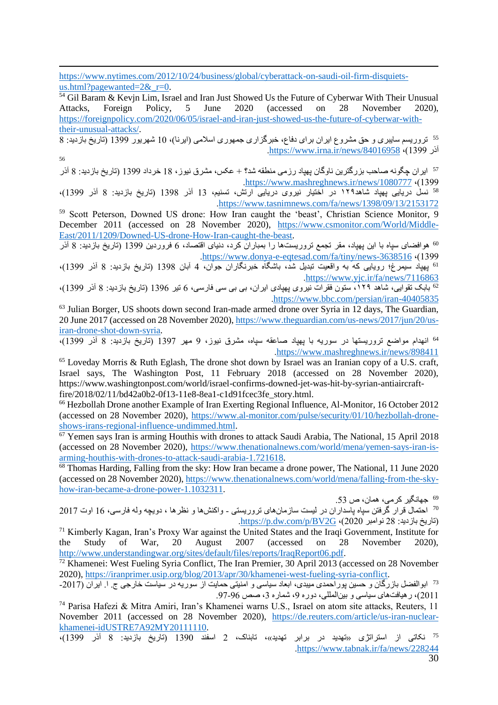[https://www.nytimes.com/2012/10/24/business/global/cyberattack-on-saudi-oil-firm-disquiets](https://www.nytimes.com/2012/10/24/business/global/cyberattack-on-saudi-oil-firm-disquiets-us.html?pagewanted=2&_r=0)us.html?pagewanted= $2&$ r=0.

 $\frac{54}{14}$  Gil Baram & Kevin Lim, Israel and Iran Just Showed Us the Future of Cyberwar With Their Unusual Attacks, Foreign Policy, 5 June 2020 (accessed on 28 November 2020), [https://foreignpolicy.com/2020/06/05/israel-and-iran-just-showed-us-the-future-of-cyberwar-with](https://foreignpolicy.com/2020/06/05/israel-and-iran-just-showed-us-the-future-of-cyberwar-with-their-unusual-attacks/)[their-unusual-attacks/.](https://foreignpolicy.com/2020/06/05/israel-and-iran-just-showed-us-the-future-of-cyberwar-with-their-unusual-attacks/)

 $\frac{1}{8}$ تروریسم سایبری و حق مشروع ایران برای دفاع، خبرگزاری جمهوری اسلامی (ایرنا)، 10 شهریور 1399 (تاریخ بازدید: 8 [.https://www.irna.ir/news/84016958](https://www.irna.ir/news/84016958) ،)1399 آذر 56

<sup>57</sup> ایران چگونه صاحب بزرگترین ناوگان پهپاد رزمی منطقه شد؟ + عکس، مشرق نیوز، 18 خرداد 1399 (تاریخ بازدید: 8 آذر [.https://www.mashreghnews.ir/news/1080777](https://www.mashreghnews.ir/news/1080777)  $\cdot$ (1399

 نسل دریایی پهپاد شاهد۱۲۹ در اختیار نیروی دریایی ارتش، تسنیم، 13 آذر 1398 )تاریخ بازدید: 8 آذر 1399(، <sup>58</sup>  [.https://www.tasnimnews.com/fa/news/1398/09/13/2153172](https://www.tasnimnews.com/fa/news/1398/09/13/2153172)

<sup>59</sup> Scott Peterson, Downed US drone: How Iran caught the 'beast', Christian Science Monitor, 9 December 2011 (accessed on 28 November 2020), [https://www.csmonitor.com/World/Middle-](https://www.csmonitor.com/World/Middle-East/2011/1209/Downed-US-drone-How-Iran-caught-the-beast)[East/2011/1209/Downed-US-drone-How-Iran-caught-the-beast.](https://www.csmonitor.com/World/Middle-East/2011/1209/Downed-US-drone-How-Iran-caught-the-beast)

هوافضای سپاه با این پهپاد، مقر تجمع تروریست ها را بمباران کرد، دنیای اقتصاد، 6 فروردین 1399 (تاریخ بازدید: 8 آذر [.https://www.donya-e-eqtesad.com/fa/tiny/news-3638516](https://www.donya-e-eqtesad.com/fa/tiny/news-3638516)  $(1399)$ 

<sup>61</sup> پهپاد سیمرغ؛ رویایی که به واقعیت تبدیل شد، باشگاه خبرنگاران جوان، 4 آبان 1398 (تاریخ بازدید: 8 آذر 1399)، [.https://www.yjc.ir/fa/news/7116863](https://www.yjc.ir/fa/news/7116863)

بابک تقوایی، شاهد ۱۲۹، ستون فقرات نیروی پهپادی ایران، بی بی سی فارسی، 6 تیر 1396 (تاریخ بازدید: 8 آذر 1399)،<br><sup>62</sup> بابک تقوایی، شاهد ۱۲۹، ستون فقرات نیروی پهپادی ایران، بی بی سی فارسی، 6 تیر 1396 (تاریخ بازدید: 8 آذر 1399) [.https://www.bbc.com/persian/iran-40405835](https://www.bbc.com/persian/iran-40405835)

<sup>63</sup> Julian Borger, US shoots down second Iran-made armed drone over Syria in 12 days, The Guardian, 20 June 2017 (accessed on 28 November 2020), [https://www.theguardian.com/us-news/2017/jun/20/us](https://www.theguardian.com/us-news/2017/jun/20/us-iran-drone-shot-down-syria)[iran-drone-shot-down-syria.](https://www.theguardian.com/us-news/2017/jun/20/us-iran-drone-shot-down-syria)

<sub>4</sub><br><sup>64</sup> انهدام مواضع تروریستها در سوریه با بهیاد صاعقه سپاه، مشرق نیوز، 9 مهر 1397 (تاریخ بازدید: 8 آذر 1399)،  [.https://www.mashreghnews.ir/news/898411](https://www.mashreghnews.ir/news/898411)

<sup>65</sup> Loveday Morris & Ruth Eglash, The drone shot down by Israel was an Iranian copy of a U.S. craft, Israel says, The Washington Post, 11 February 2018 (accessed on 28 November 2020), https://www.washingtonpost.com/world/israel-confirms-downed-jet-was-hit-by-syrian-antiaircraftfire/2018/02/11/bd42a0b2-0f13-11e8-8ea1-c1d91fcec3fe\_story.html.

<sup>66</sup> Hezbollah Drone another Example of Iran Exerting Regional Influence, Al-Monitor, 16 October 2012 (accessed on 28 November 2020), [https://www.al-monitor.com/pulse/security/01/10/hezbollah-drone](https://www.al-monitor.com/pulse/security/01/10/hezbollah-drone-shows-irans-regional-influence-undimmed.html)[shows-irans-regional-influence-undimmed.html.](https://www.al-monitor.com/pulse/security/01/10/hezbollah-drone-shows-irans-regional-influence-undimmed.html)

 $\overline{67}$  Yemen says Iran is arming Houthis with drones to attack Saudi Arabia, The National, 15 April 2018 (accessed on 28 November 2020), [https://www.thenationalnews.com/world/mena/yemen-says-iran-is](https://www.thenationalnews.com/world/mena/yemen-says-iran-is-arming-houthis-with-drones-to-attack-saudi-arabia-1.721618)[arming-houthis-with-drones-to-attack-saudi-arabia-1.721618.](https://www.thenationalnews.com/world/mena/yemen-says-iran-is-arming-houthis-with-drones-to-attack-saudi-arabia-1.721618)

<sup>68</sup> Thomas Harding, Falling from the sky: How Iran became a drone power, The National, 11 June 2020 (accessed on 28 November 2020), [https://www.thenationalnews.com/world/mena/falling-from-the-sky](https://www.thenationalnews.com/world/mena/falling-from-the-sky-how-iran-became-a-drone-power-1.1032311)[how-iran-became-a-drone-power-1.1032311.](https://www.thenationalnews.com/world/mena/falling-from-the-sky-how-iran-became-a-drone-power-1.1032311)

69 جهانگیر کرمی، همان، ص .53

70 احتمال قرار گرفتن سپاه پاسداران در لیست سازمانهای تروریستی - واکنش ها و نظرها ، دویچه وله فارسی، 16 اوت 2017 .https://p.dw.com/p/BV2G ،(2020) inttps://p.dw.com/p/BV2G

<sup>71</sup> Kimberly Kagan, Iran's Proxy War against the United States and the Iraqi Government, Institute for the Study of War, 20 August 2007 (accessed on 28 November 2020), [http://www.understandingwar.org/sites/default/files/reports/IraqReport06.pdf.](http://www.understandingwar.org/sites/default/files/reports/IraqReport06.pdf)

<sup>72</sup> Khamenei: West Fueling Syria Conflict, The Iran Premier, 30 April 2013 (accessed on 28 November 2020), [https://iranprimer.usip.org/blog/2013/apr/30/khamenei-west-fueling-syria-conflict.](https://iranprimer.usip.org/blog/2013/apr/30/khamenei-west-fueling-syria-conflict)

<sup>73</sup> ابوالفضل بازرگان و حسین پوراحمدی میبدی، ابعاد سیاسی و امنیتی حمایت از سوریه در سیاست خارجی ج. ا. ایران (2017-2011)، رهیافتهای سیاسی و بینالمللی، دوره 9، شماره 3، صص 96-97.

<sup>74</sup> Parisa Hafezi & Mitra Amiri, Iran's Khamenei warns U.S., Israel on atom site attacks, Reuters, 11 November 2011 (accessed on 28 November 2020), [https://de.reuters.com/article/us-iran-nuclear](https://de.reuters.com/article/us-iran-nuclear-khamenei-idUSTRE7A92MY20111110)[khamenei-idUSTRE7A92MY20111110.](https://de.reuters.com/article/us-iran-nuclear-khamenei-idUSTRE7A92MY20111110)

<sup>75</sup> نکاتی از استراتژی «تهدید در برابر تهدید»، تابناک، 2 اسفند 1390 (تاریخ بازدید: 8 آذر 1399)، [.https://www.tabnak.ir/fa/news/228244](https://www.tabnak.ir/fa/news/228244)